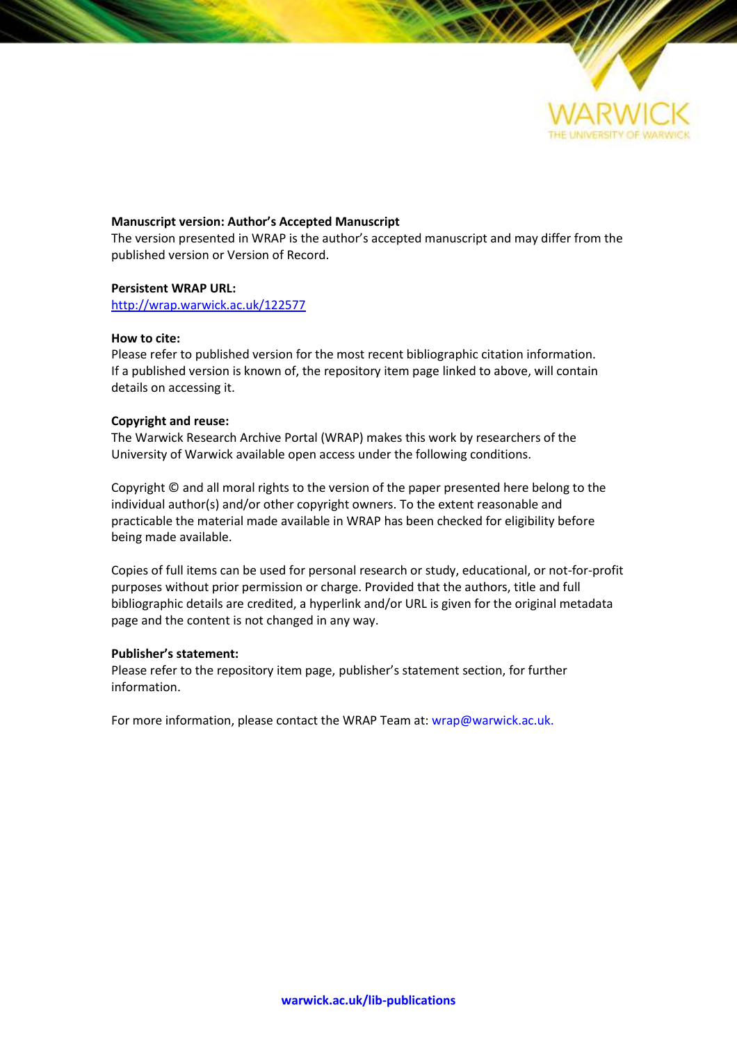

#### **Manuscript version: Author's Accepted Manuscript**

The version presented in WRAP is the author's accepted manuscript and may differ from the published version or Version of Record.

#### **Persistent WRAP URL:**

<http://wrap.warwick.ac.uk/122577>

#### **How to cite:**

Please refer to published version for the most recent bibliographic citation information. If a published version is known of, the repository item page linked to above, will contain details on accessing it.

#### **Copyright and reuse:**

The Warwick Research Archive Portal (WRAP) makes this work by researchers of the University of Warwick available open access under the following conditions.

Copyright © and all moral rights to the version of the paper presented here belong to the individual author(s) and/or other copyright owners. To the extent reasonable and practicable the material made available in WRAP has been checked for eligibility before being made available.

Copies of full items can be used for personal research or study, educational, or not-for-profit purposes without prior permission or charge. Provided that the authors, title and full bibliographic details are credited, a hyperlink and/or URL is given for the original metadata page and the content is not changed in any way.

#### **Publisher's statement:**

Please refer to the repository item page, publisher's statement section, for further information.

For more information, please contact the WRAP Team at[: wrap@warwick.ac.uk.](mailto:wrap@warwick.ac.uk)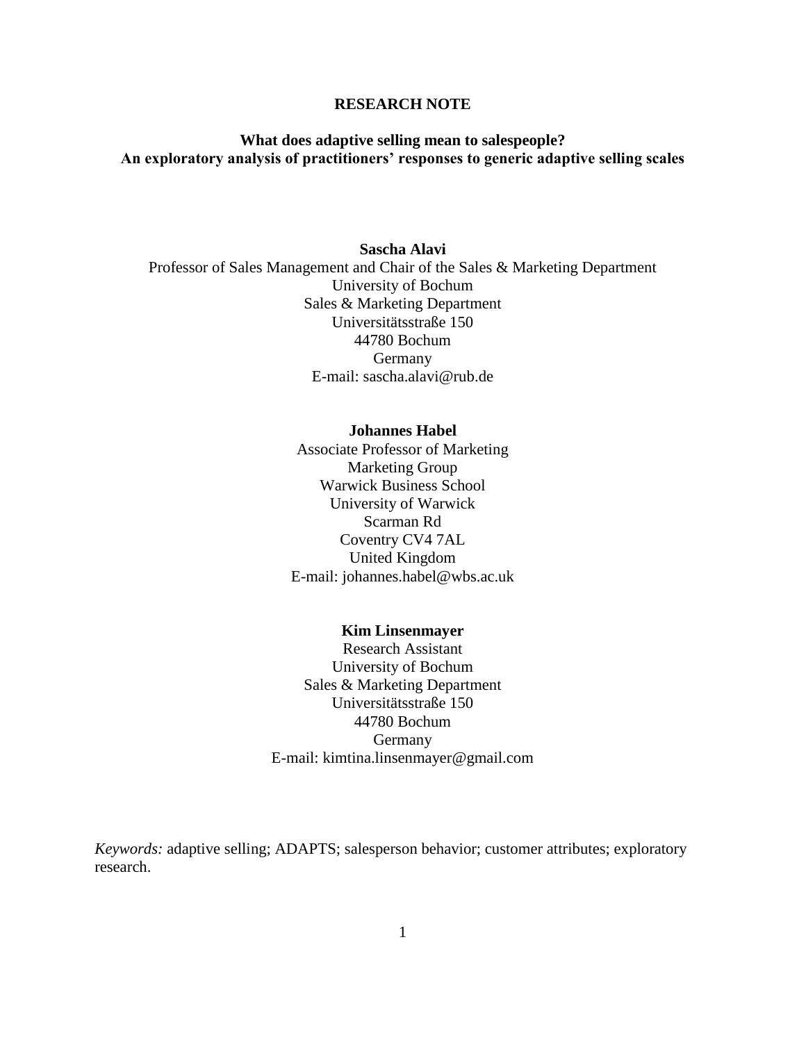#### **RESEARCH NOTE**

## **What does adaptive selling mean to salespeople? An exploratory analysis of practitioners' responses to generic adaptive selling scales**

## **Sascha Alavi** Professor of Sales Management and Chair of the Sales & Marketing Department University of Bochum Sales & Marketing Department Universitätsstraße 150 44780 Bochum Germany E-mail: sascha.alavi@rub.de

#### **Johannes Habel**

Associate Professor of Marketing Marketing Group Warwick Business School University of Warwick Scarman Rd Coventry CV4 7AL United Kingdom E-mail: johannes.habel@wbs.ac.uk

#### **Kim Linsenmayer**

Research Assistant University of Bochum Sales & Marketing Department Universitätsstraße 150 44780 Bochum **Germany** E-mail: kimtina.linsenmayer@gmail.com

*Keywords:* adaptive selling; ADAPTS; salesperson behavior; customer attributes; exploratory research.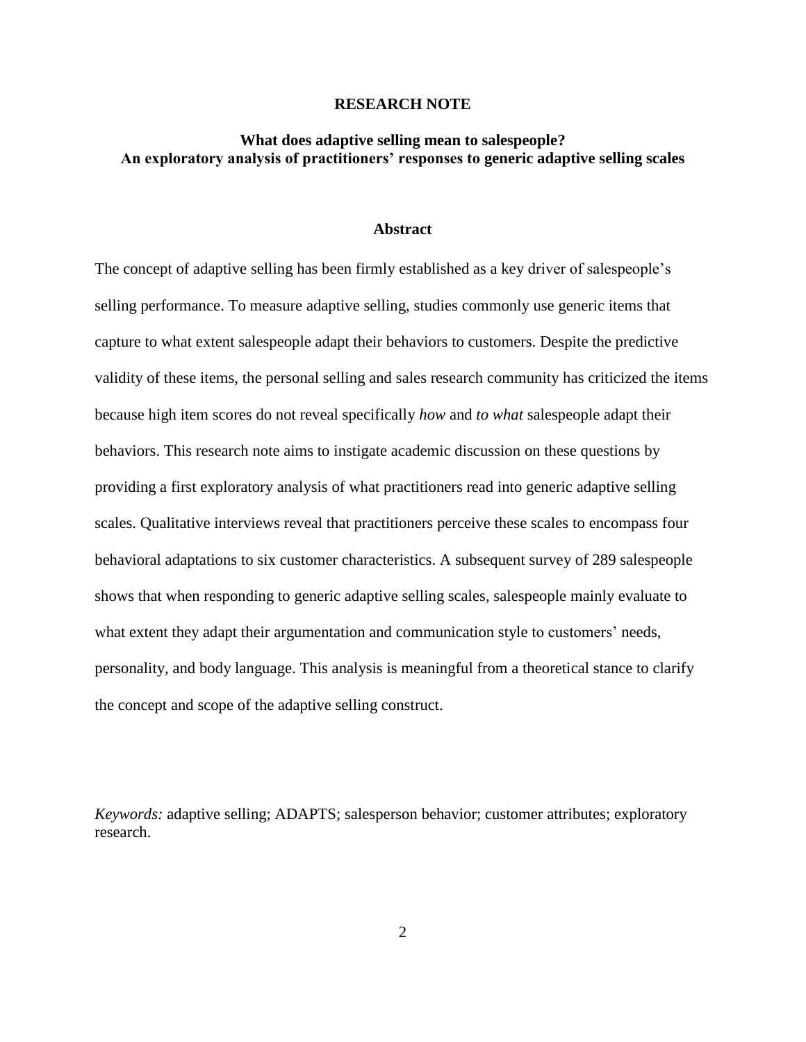#### **RESEARCH NOTE**

## **What does adaptive selling mean to salespeople? An exploratory analysis of practitioners' responses to generic adaptive selling scales**

#### **Abstract**

The concept of adaptive selling has been firmly established as a key driver of salespeople's selling performance. To measure adaptive selling, studies commonly use generic items that capture to what extent salespeople adapt their behaviors to customers. Despite the predictive validity of these items, the personal selling and sales research community has criticized the items because high item scores do not reveal specifically *how* and *to what* salespeople adapt their behaviors. This research note aims to instigate academic discussion on these questions by providing a first exploratory analysis of what practitioners read into generic adaptive selling scales. Qualitative interviews reveal that practitioners perceive these scales to encompass four behavioral adaptations to six customer characteristics. A subsequent survey of 289 salespeople shows that when responding to generic adaptive selling scales, salespeople mainly evaluate to what extent they adapt their argumentation and communication style to customers' needs, personality, and body language. This analysis is meaningful from a theoretical stance to clarify the concept and scope of the adaptive selling construct.

*Keywords:* adaptive selling; ADAPTS; salesperson behavior; customer attributes; exploratory research.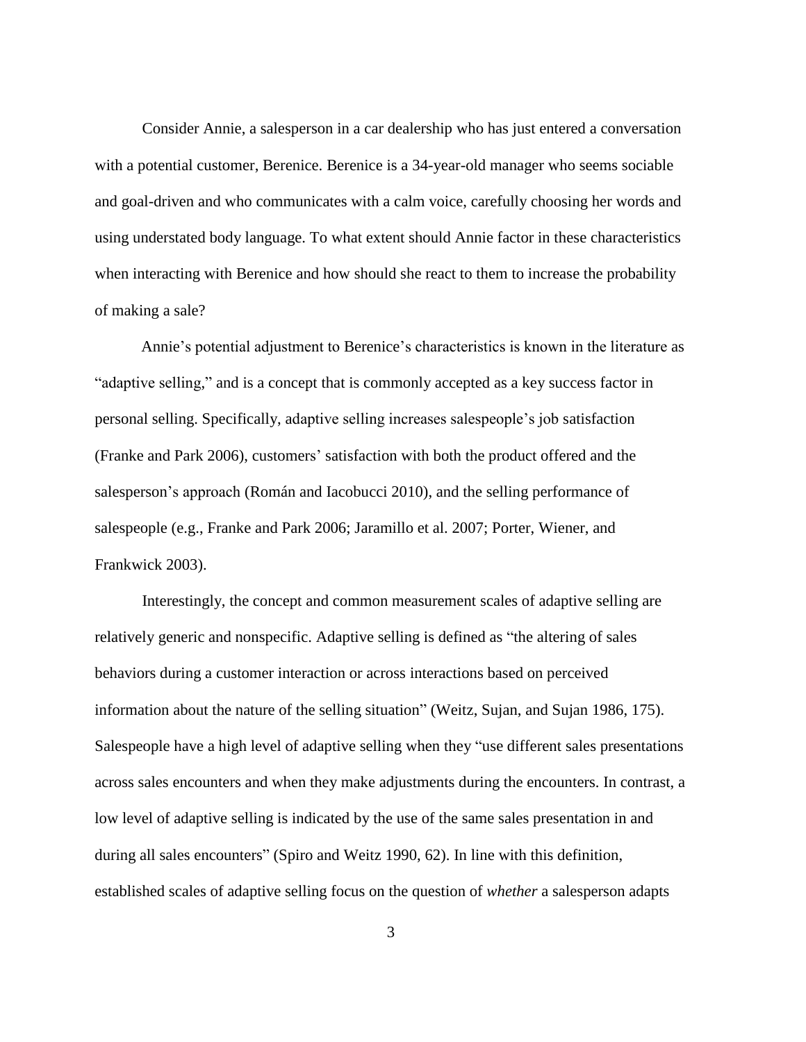Consider Annie, a salesperson in a car dealership who has just entered a conversation with a potential customer, Berenice. Berenice is a 34-year-old manager who seems sociable and goal-driven and who communicates with a calm voice, carefully choosing her words and using understated body language. To what extent should Annie factor in these characteristics when interacting with Berenice and how should she react to them to increase the probability of making a sale?

Annie's potential adjustment to Berenice's characteristics is known in the literature as "adaptive selling," and is a concept that is commonly accepted as a key success factor in personal selling. Specifically, adaptive selling increases salespeople's job satisfaction (Franke and Park 2006), customers' satisfaction with both the product offered and the salesperson's approach (Román and Iacobucci 2010), and the selling performance of salespeople (e.g., Franke and Park 2006; Jaramillo et al. 2007; Porter, Wiener, and Frankwick 2003).

Interestingly, the concept and common measurement scales of adaptive selling are relatively generic and nonspecific. Adaptive selling is defined as "the altering of sales behaviors during a customer interaction or across interactions based on perceived information about the nature of the selling situation" (Weitz, Sujan, and Sujan 1986, 175). Salespeople have a high level of adaptive selling when they "use different sales presentations across sales encounters and when they make adjustments during the encounters. In contrast, a low level of adaptive selling is indicated by the use of the same sales presentation in and during all sales encounters" (Spiro and Weitz 1990, 62). In line with this definition, established scales of adaptive selling focus on the question of *whether* a salesperson adapts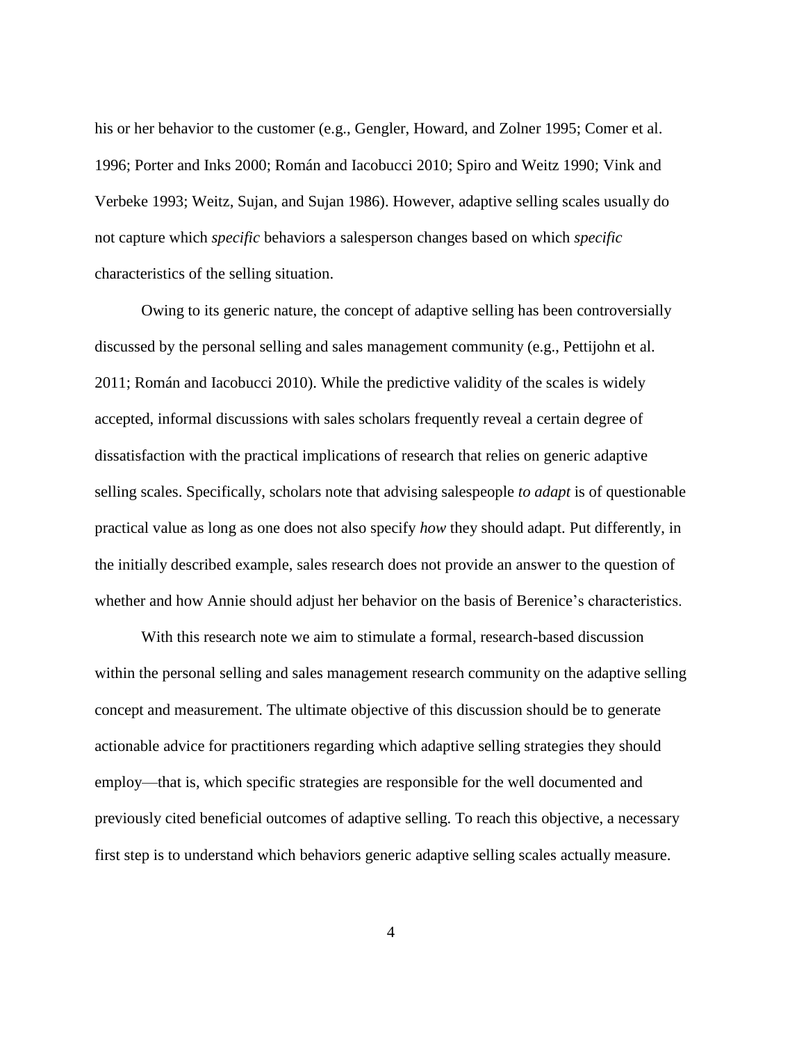his or her behavior to the customer (e.g., Gengler, Howard, and Zolner 1995; Comer et al. 1996; Porter and Inks 2000; Román and Iacobucci 2010; Spiro and Weitz 1990; Vink and Verbeke 1993; Weitz, Sujan, and Sujan 1986). However, adaptive selling scales usually do not capture which *specific* behaviors a salesperson changes based on which *specific* characteristics of the selling situation.

Owing to its generic nature, the concept of adaptive selling has been controversially discussed by the personal selling and sales management community (e.g., Pettijohn et al. 2011; Román and Iacobucci 2010). While the predictive validity of the scales is widely accepted, informal discussions with sales scholars frequently reveal a certain degree of dissatisfaction with the practical implications of research that relies on generic adaptive selling scales. Specifically, scholars note that advising salespeople *to adapt* is of questionable practical value as long as one does not also specify *how* they should adapt. Put differently, in the initially described example, sales research does not provide an answer to the question of whether and how Annie should adjust her behavior on the basis of Berenice's characteristics.

With this research note we aim to stimulate a formal, research-based discussion within the personal selling and sales management research community on the adaptive selling concept and measurement. The ultimate objective of this discussion should be to generate actionable advice for practitioners regarding which adaptive selling strategies they should employ—that is, which specific strategies are responsible for the well documented and previously cited beneficial outcomes of adaptive selling. To reach this objective, a necessary first step is to understand which behaviors generic adaptive selling scales actually measure.

4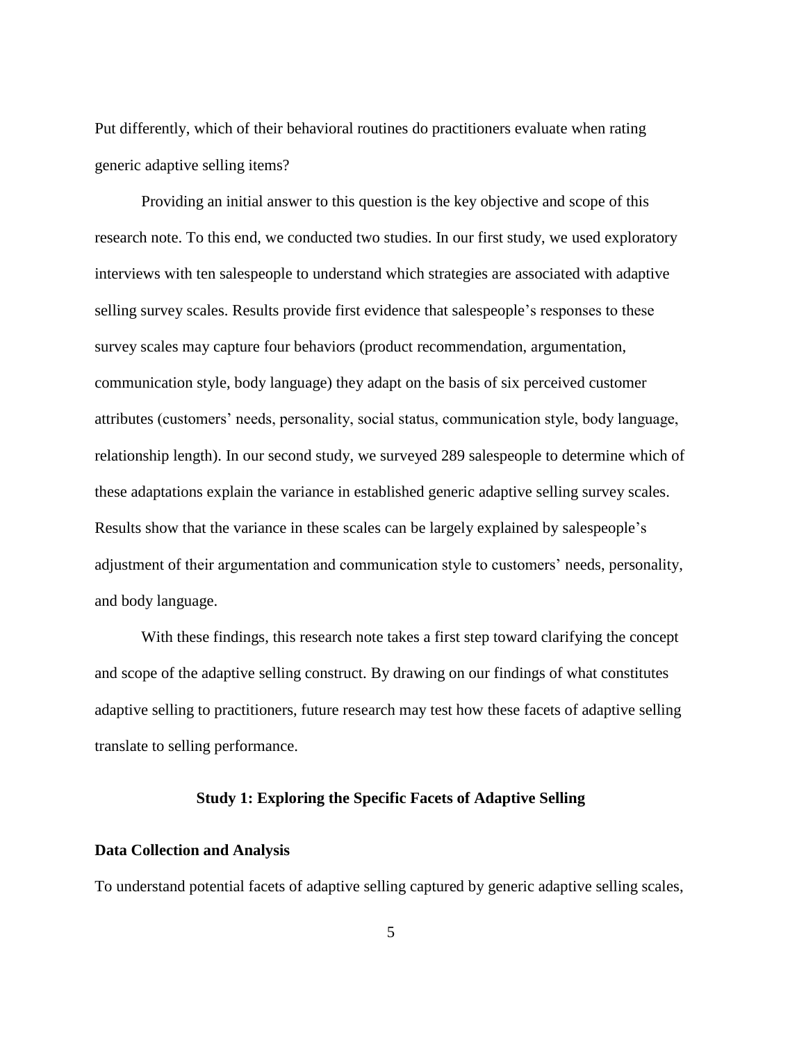Put differently, which of their behavioral routines do practitioners evaluate when rating generic adaptive selling items?

Providing an initial answer to this question is the key objective and scope of this research note. To this end, we conducted two studies. In our first study, we used exploratory interviews with ten salespeople to understand which strategies are associated with adaptive selling survey scales. Results provide first evidence that salespeople's responses to these survey scales may capture four behaviors (product recommendation, argumentation, communication style, body language) they adapt on the basis of six perceived customer attributes (customers' needs, personality, social status, communication style, body language, relationship length). In our second study, we surveyed 289 salespeople to determine which of these adaptations explain the variance in established generic adaptive selling survey scales. Results show that the variance in these scales can be largely explained by salespeople's adjustment of their argumentation and communication style to customers' needs, personality, and body language.

With these findings, this research note takes a first step toward clarifying the concept and scope of the adaptive selling construct. By drawing on our findings of what constitutes adaptive selling to practitioners, future research may test how these facets of adaptive selling translate to selling performance.

#### **Study 1: Exploring the Specific Facets of Adaptive Selling**

#### **Data Collection and Analysis**

To understand potential facets of adaptive selling captured by generic adaptive selling scales,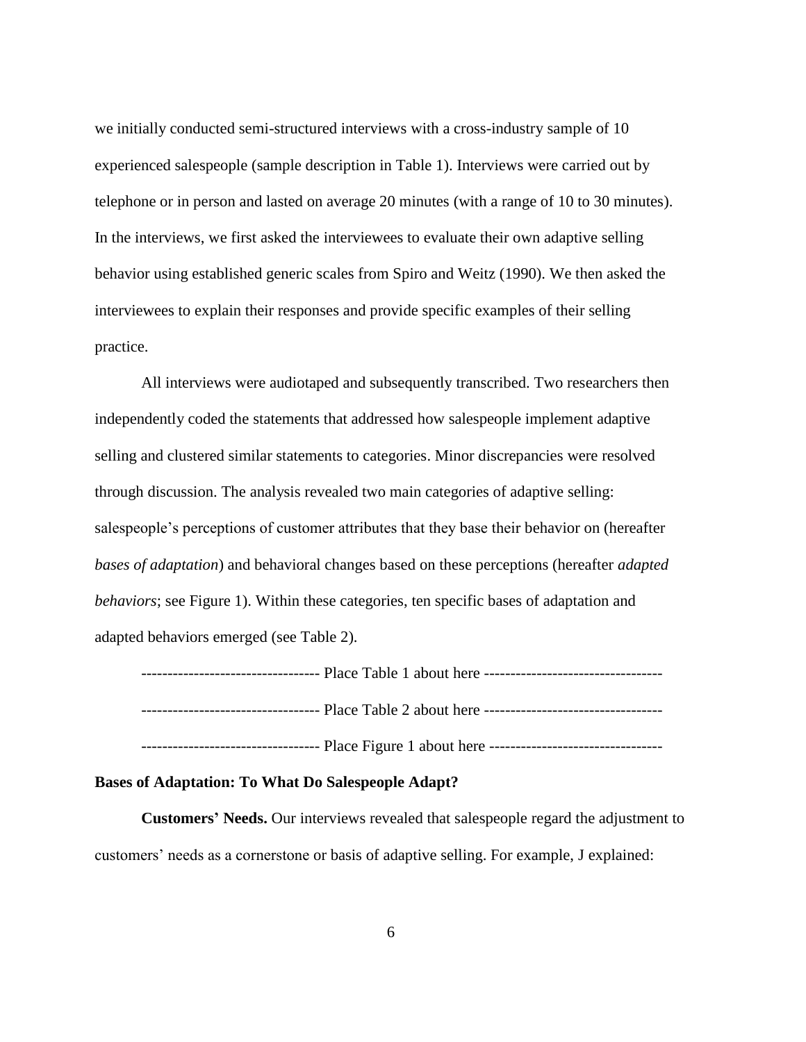we initially conducted semi-structured interviews with a cross-industry sample of 10 experienced salespeople (sample description in Table 1). Interviews were carried out by telephone or in person and lasted on average 20 minutes (with a range of 10 to 30 minutes). In the interviews, we first asked the interviewees to evaluate their own adaptive selling behavior using established generic scales from Spiro and Weitz (1990). We then asked the interviewees to explain their responses and provide specific examples of their selling practice.

All interviews were audiotaped and subsequently transcribed. Two researchers then independently coded the statements that addressed how salespeople implement adaptive selling and clustered similar statements to categories. Minor discrepancies were resolved through discussion. The analysis revealed two main categories of adaptive selling: salespeople's perceptions of customer attributes that they base their behavior on (hereafter *bases of adaptation*) and behavioral changes based on these perceptions (hereafter *adapted behaviors*; see Figure 1). Within these categories, ten specific bases of adaptation and adapted behaviors emerged (see Table 2).

---------------------------------- Place Table 1 about here ---------------------------------- ---------------------------------- Place Table 2 about here ---------------------------------- ---------------------------------- Place Figure 1 about here ---------------------------------

#### **Bases of Adaptation: To What Do Salespeople Adapt?**

**Customers' Needs.** Our interviews revealed that salespeople regard the adjustment to customers' needs as a cornerstone or basis of adaptive selling. For example, J explained: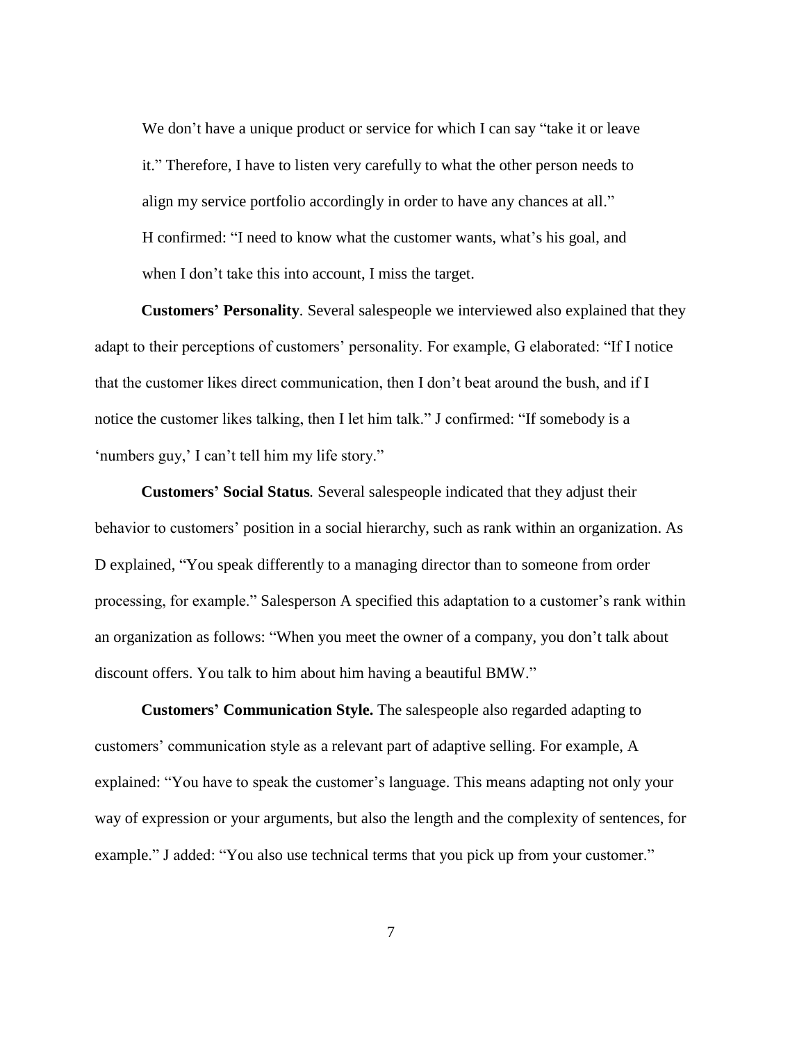We don't have a unique product or service for which I can say "take it or leave it." Therefore, I have to listen very carefully to what the other person needs to align my service portfolio accordingly in order to have any chances at all." H confirmed: "I need to know what the customer wants, what's his goal, and when I don't take this into account, I miss the target.

**Customers' Personality***.* Several salespeople we interviewed also explained that they adapt to their perceptions of customers' personality. For example, G elaborated: "If I notice that the customer likes direct communication, then I don't beat around the bush, and if I notice the customer likes talking, then I let him talk." J confirmed: "If somebody is a 'numbers guy,' I can't tell him my life story."

**Customers' Social Status***.* Several salespeople indicated that they adjust their behavior to customers' position in a social hierarchy, such as rank within an organization. As D explained, "You speak differently to a managing director than to someone from order processing, for example." Salesperson A specified this adaptation to a customer's rank within an organization as follows: "When you meet the owner of a company, you don't talk about discount offers. You talk to him about him having a beautiful BMW."

**Customers' Communication Style.** The salespeople also regarded adapting to customers' communication style as a relevant part of adaptive selling. For example, A explained: "You have to speak the customer's language. This means adapting not only your way of expression or your arguments, but also the length and the complexity of sentences, for example." J added: "You also use technical terms that you pick up from your customer."

7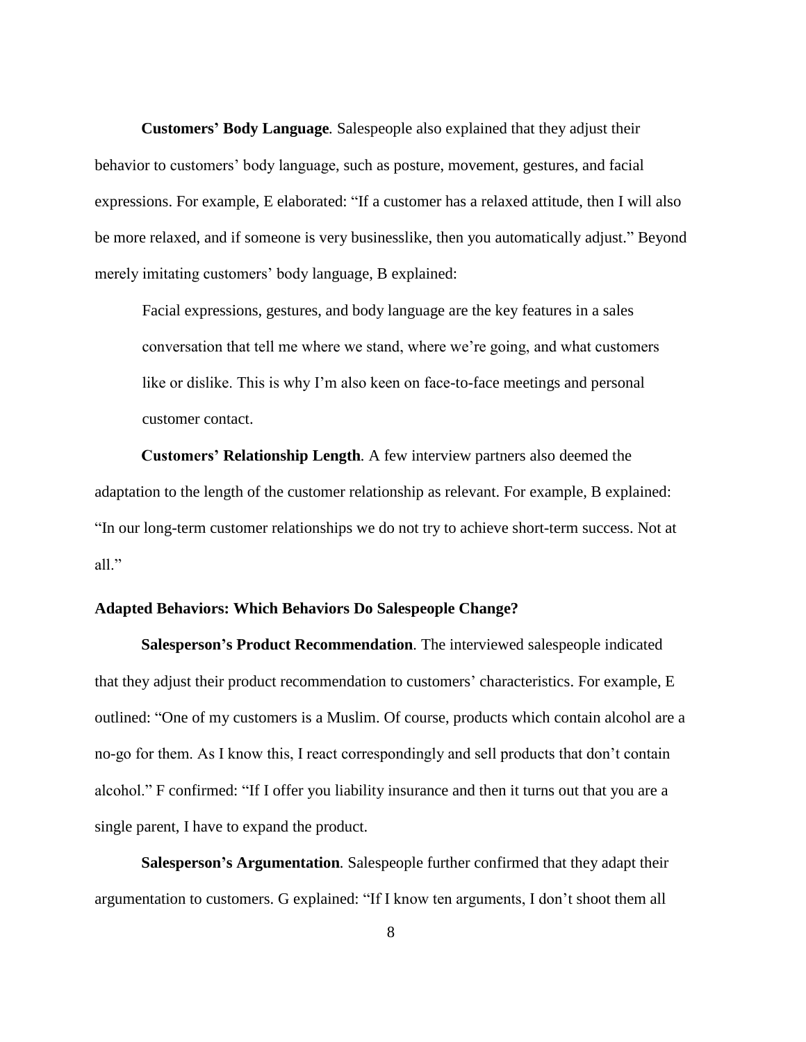**Customers' Body Language***.* Salespeople also explained that they adjust their behavior to customers' body language, such as posture, movement, gestures, and facial expressions. For example, E elaborated: "If a customer has a relaxed attitude, then I will also be more relaxed, and if someone is very businesslike, then you automatically adjust." Beyond merely imitating customers' body language, B explained:

Facial expressions, gestures, and body language are the key features in a sales conversation that tell me where we stand, where we're going, and what customers like or dislike. This is why I'm also keen on face-to-face meetings and personal customer contact.

**Customers' Relationship Length***.* A few interview partners also deemed the adaptation to the length of the customer relationship as relevant. For example, B explained: "In our long-term customer relationships we do not try to achieve short-term success. Not at all."

#### **Adapted Behaviors: Which Behaviors Do Salespeople Change?**

**Salesperson's Product Recommendation***.* The interviewed salespeople indicated that they adjust their product recommendation to customers' characteristics. For example, E outlined: "One of my customers is a Muslim. Of course, products which contain alcohol are a no-go for them. As I know this, I react correspondingly and sell products that don't contain alcohol." F confirmed: "If I offer you liability insurance and then it turns out that you are a single parent, I have to expand the product.

**Salesperson's Argumentation***.* Salespeople further confirmed that they adapt their argumentation to customers. G explained: "If I know ten arguments, I don't shoot them all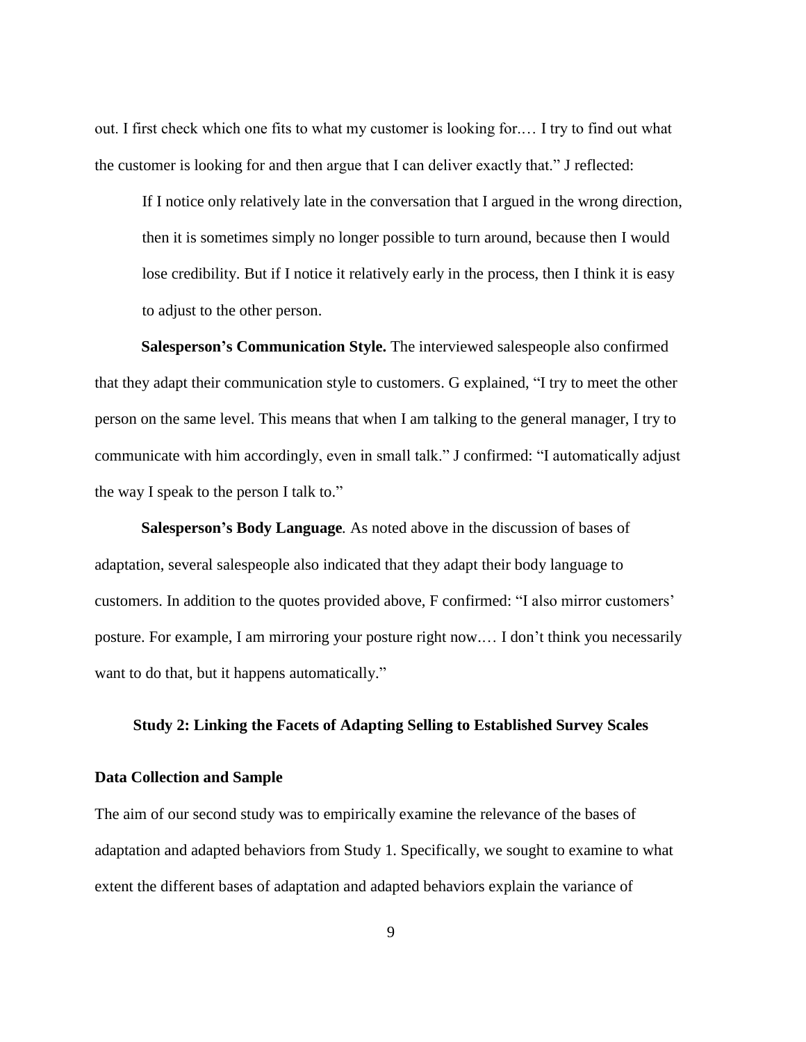out. I first check which one fits to what my customer is looking for.… I try to find out what the customer is looking for and then argue that I can deliver exactly that." J reflected:

If I notice only relatively late in the conversation that I argued in the wrong direction, then it is sometimes simply no longer possible to turn around, because then I would lose credibility. But if I notice it relatively early in the process, then I think it is easy to adjust to the other person.

**Salesperson's Communication Style.** The interviewed salespeople also confirmed that they adapt their communication style to customers. G explained, "I try to meet the other person on the same level. This means that when I am talking to the general manager, I try to communicate with him accordingly, even in small talk." J confirmed: "I automatically adjust the way I speak to the person I talk to."

**Salesperson's Body Language***.* As noted above in the discussion of bases of adaptation, several salespeople also indicated that they adapt their body language to customers. In addition to the quotes provided above, F confirmed: "I also mirror customers' posture. For example, I am mirroring your posture right now.… I don't think you necessarily want to do that, but it happens automatically."

#### **Study 2: Linking the Facets of Adapting Selling to Established Survey Scales**

#### **Data Collection and Sample**

The aim of our second study was to empirically examine the relevance of the bases of adaptation and adapted behaviors from Study 1. Specifically, we sought to examine to what extent the different bases of adaptation and adapted behaviors explain the variance of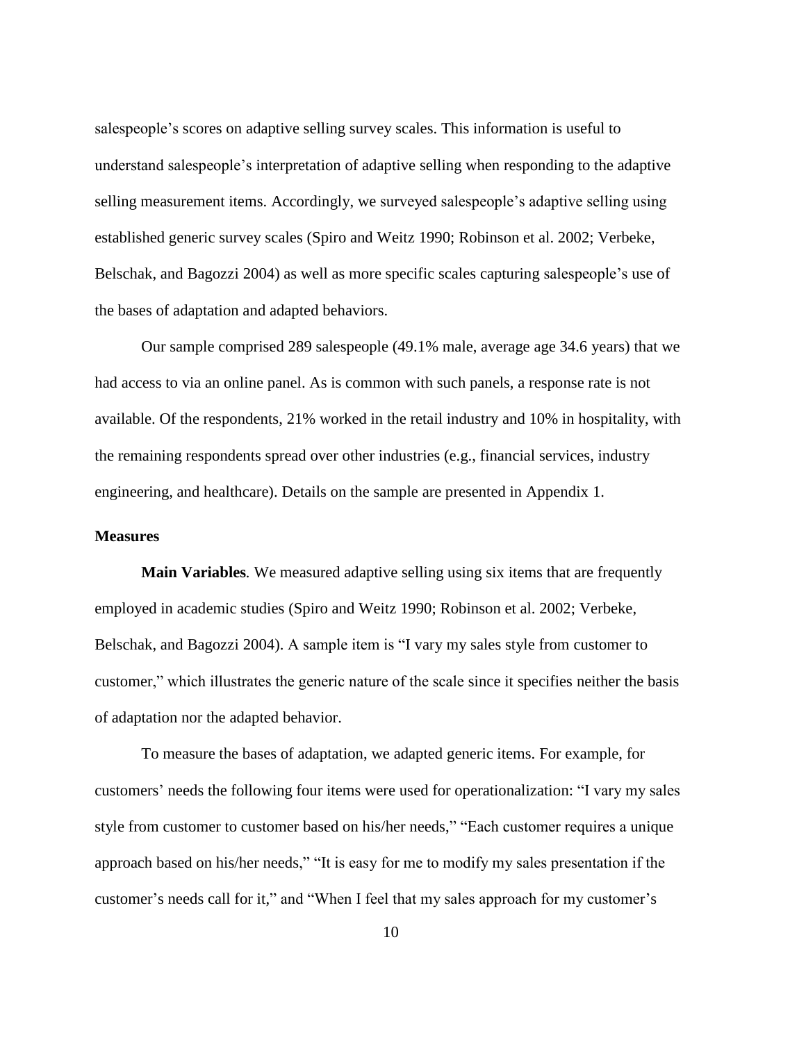salespeople's scores on adaptive selling survey scales. This information is useful to understand salespeople's interpretation of adaptive selling when responding to the adaptive selling measurement items. Accordingly, we surveyed salespeople's adaptive selling using established generic survey scales (Spiro and Weitz 1990; Robinson et al. 2002; Verbeke, Belschak, and Bagozzi 2004) as well as more specific scales capturing salespeople's use of the bases of adaptation and adapted behaviors.

Our sample comprised 289 salespeople (49.1% male, average age 34.6 years) that we had access to via an online panel. As is common with such panels, a response rate is not available. Of the respondents, 21% worked in the retail industry and 10% in hospitality, with the remaining respondents spread over other industries (e.g., financial services, industry engineering, and healthcare). Details on the sample are presented in Appendix 1.

#### **Measures**

**Main Variables***.* We measured adaptive selling using six items that are frequently employed in academic studies (Spiro and Weitz 1990; Robinson et al. 2002; Verbeke, Belschak, and Bagozzi 2004). A sample item is "I vary my sales style from customer to customer," which illustrates the generic nature of the scale since it specifies neither the basis of adaptation nor the adapted behavior.

To measure the bases of adaptation, we adapted generic items. For example, for customers' needs the following four items were used for operationalization: "I vary my sales style from customer to customer based on his/her needs," "Each customer requires a unique approach based on his/her needs," "It is easy for me to modify my sales presentation if the customer's needs call for it," and "When I feel that my sales approach for my customer's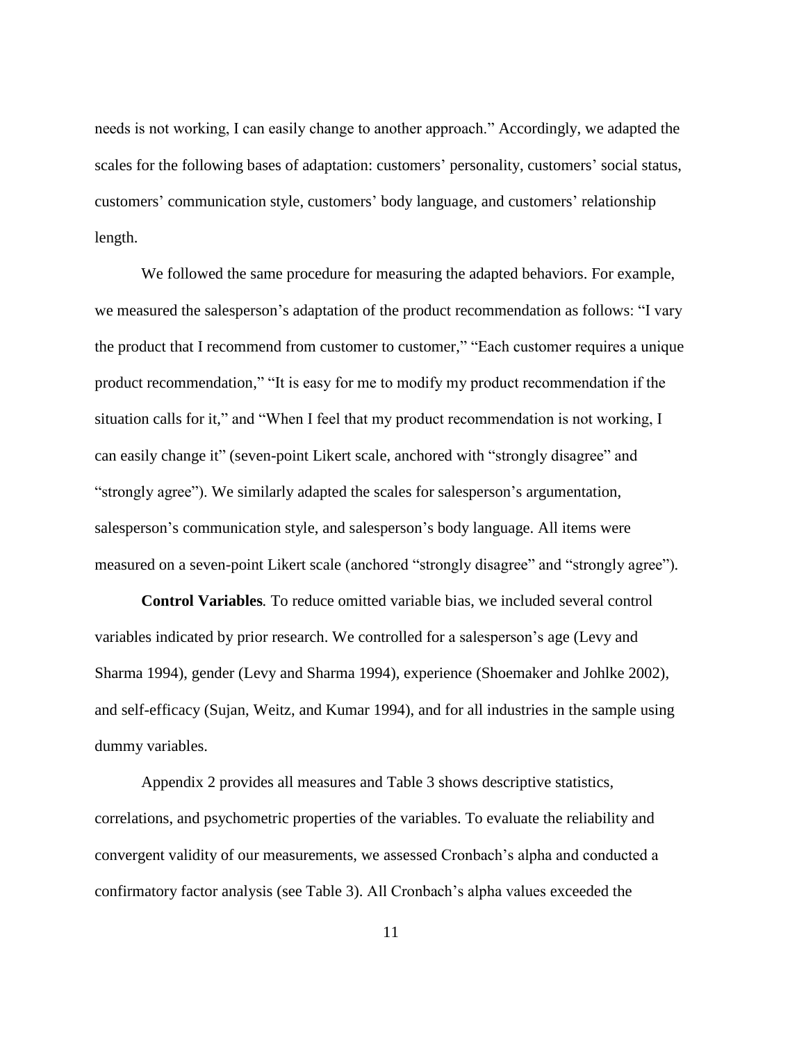needs is not working, I can easily change to another approach." Accordingly, we adapted the scales for the following bases of adaptation: customers' personality, customers' social status, customers' communication style, customers' body language, and customers' relationship length.

We followed the same procedure for measuring the adapted behaviors. For example, we measured the salesperson's adaptation of the product recommendation as follows: "I vary the product that I recommend from customer to customer," "Each customer requires a unique product recommendation," "It is easy for me to modify my product recommendation if the situation calls for it," and "When I feel that my product recommendation is not working, I can easily change it" (seven-point Likert scale, anchored with "strongly disagree" and "strongly agree"). We similarly adapted the scales for salesperson's argumentation, salesperson's communication style, and salesperson's body language. All items were measured on a seven-point Likert scale (anchored "strongly disagree" and "strongly agree")*.*

**Control Variables***.* To reduce omitted variable bias, we included several control variables indicated by prior research. We controlled for a salesperson's age (Levy and Sharma 1994), gender (Levy and Sharma 1994), experience (Shoemaker and Johlke 2002), and self-efficacy (Sujan, Weitz, and Kumar 1994), and for all industries in the sample using dummy variables.

Appendix 2 provides all measures and Table 3 shows descriptive statistics, correlations, and psychometric properties of the variables. To evaluate the reliability and convergent validity of our measurements, we assessed Cronbach's alpha and conducted a confirmatory factor analysis (see Table 3). All Cronbach's alpha values exceeded the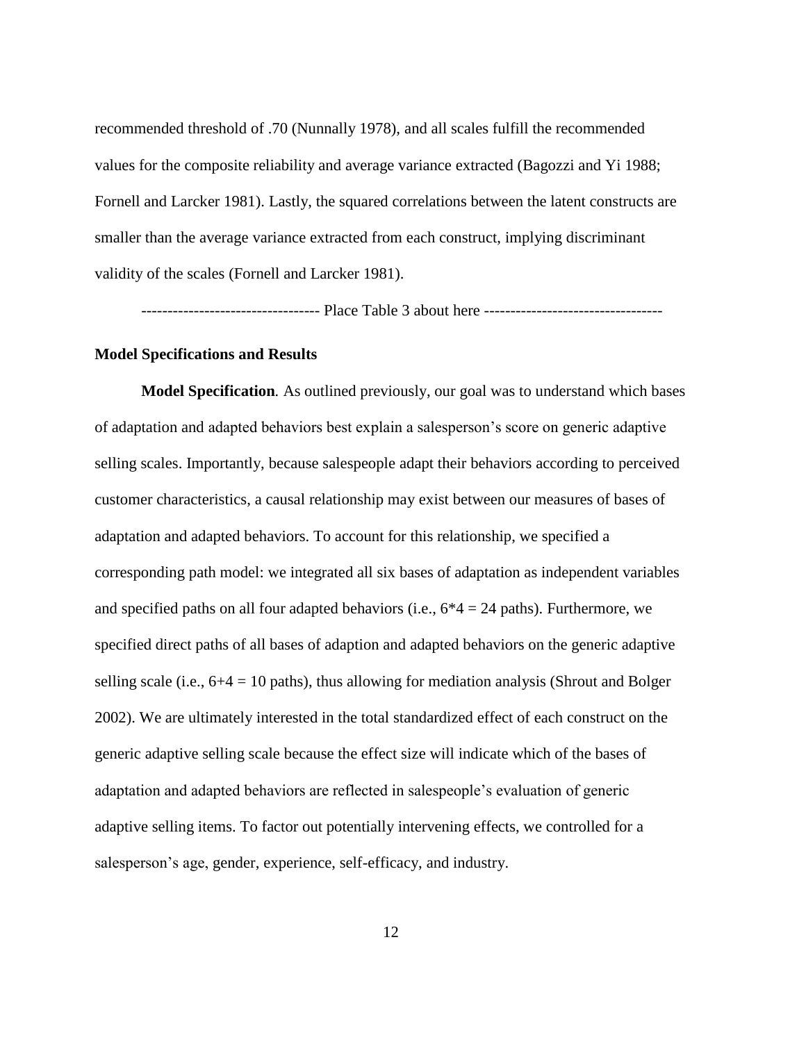recommended threshold of .70 (Nunnally 1978), and all scales fulfill the recommended values for the composite reliability and average variance extracted (Bagozzi and Yi 1988; Fornell and Larcker 1981). Lastly, the squared correlations between the latent constructs are smaller than the average variance extracted from each construct, implying discriminant validity of the scales (Fornell and Larcker 1981).

---------------------------------- Place Table 3 about here ----------------------------------

#### **Model Specifications and Results**

**Model Specification***.* As outlined previously, our goal was to understand which bases of adaptation and adapted behaviors best explain a salesperson's score on generic adaptive selling scales. Importantly, because salespeople adapt their behaviors according to perceived customer characteristics, a causal relationship may exist between our measures of bases of adaptation and adapted behaviors. To account for this relationship, we specified a corresponding path model: we integrated all six bases of adaptation as independent variables and specified paths on all four adapted behaviors (i.e.,  $6*4 = 24$  paths). Furthermore, we specified direct paths of all bases of adaption and adapted behaviors on the generic adaptive selling scale (i.e.,  $6+4 = 10$  paths), thus allowing for mediation analysis (Shrout and Bolger 2002). We are ultimately interested in the total standardized effect of each construct on the generic adaptive selling scale because the effect size will indicate which of the bases of adaptation and adapted behaviors are reflected in salespeople's evaluation of generic adaptive selling items. To factor out potentially intervening effects, we controlled for a salesperson's age, gender, experience, self-efficacy, and industry.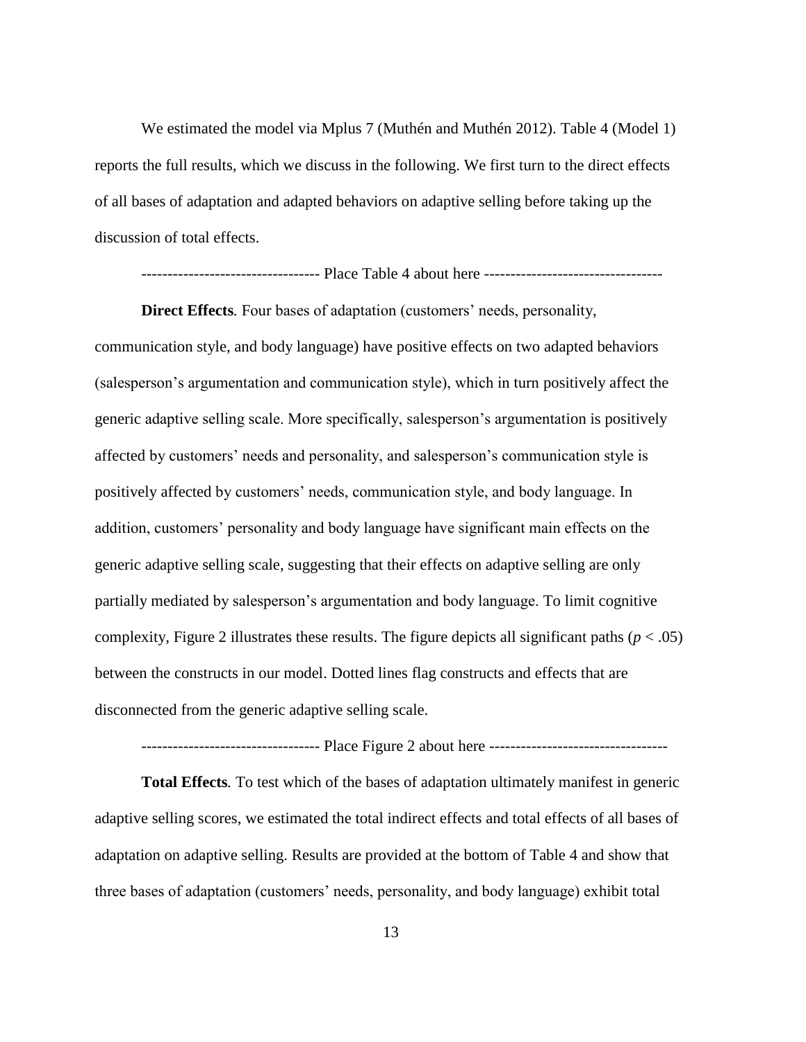We estimated the model via Mplus 7 (Muthén and Muthén 2012). Table 4 (Model 1) reports the full results, which we discuss in the following. We first turn to the direct effects of all bases of adaptation and adapted behaviors on adaptive selling before taking up the discussion of total effects.

---------------------------------- Place Table 4 about here ----------------------------------

**Direct Effects***.* Four bases of adaptation (customers' needs, personality, communication style, and body language) have positive effects on two adapted behaviors (salesperson's argumentation and communication style), which in turn positively affect the generic adaptive selling scale. More specifically, salesperson's argumentation is positively affected by customers' needs and personality, and salesperson's communication style is positively affected by customers' needs, communication style, and body language. In addition, customers' personality and body language have significant main effects on the generic adaptive selling scale, suggesting that their effects on adaptive selling are only partially mediated by salesperson's argumentation and body language. To limit cognitive complexity, Figure 2 illustrates these results. The figure depicts all significant paths ( $p < .05$ ) between the constructs in our model. Dotted lines flag constructs and effects that are disconnected from the generic adaptive selling scale.

#### ---------------------------------- Place Figure 2 about here ----------------------------------

**Total Effects***.* To test which of the bases of adaptation ultimately manifest in generic adaptive selling scores, we estimated the total indirect effects and total effects of all bases of adaptation on adaptive selling. Results are provided at the bottom of Table 4 and show that three bases of adaptation (customers' needs, personality, and body language) exhibit total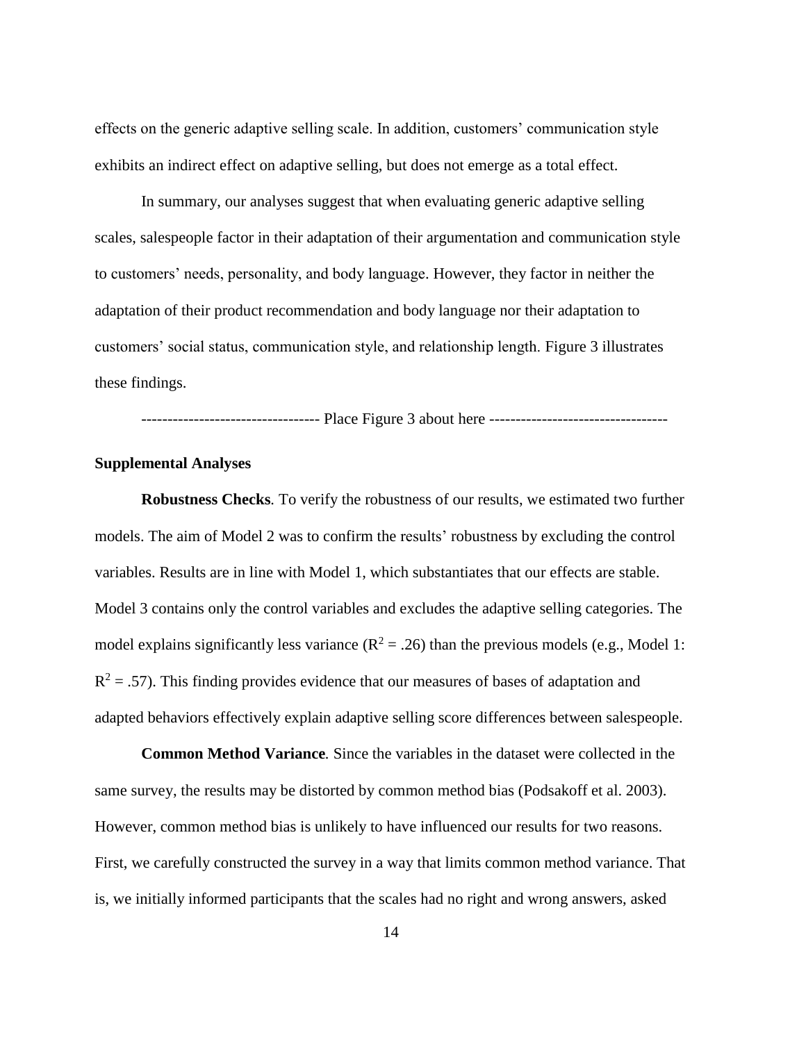effects on the generic adaptive selling scale. In addition, customers' communication style exhibits an indirect effect on adaptive selling, but does not emerge as a total effect.

In summary, our analyses suggest that when evaluating generic adaptive selling scales, salespeople factor in their adaptation of their argumentation and communication style to customers' needs, personality, and body language. However, they factor in neither the adaptation of their product recommendation and body language nor their adaptation to customers' social status, communication style, and relationship length. Figure 3 illustrates these findings.

---------------------------------- Place Figure 3 about here ----------------------------------

#### **Supplemental Analyses**

**Robustness Checks***.* To verify the robustness of our results, we estimated two further models. The aim of Model 2 was to confirm the results' robustness by excluding the control variables. Results are in line with Model 1, which substantiates that our effects are stable. Model 3 contains only the control variables and excludes the adaptive selling categories. The model explains significantly less variance  $(R^2 = .26)$  than the previous models (e.g., Model 1:  $R<sup>2</sup> = .57$ ). This finding provides evidence that our measures of bases of adaptation and adapted behaviors effectively explain adaptive selling score differences between salespeople.

**Common Method Variance***.* Since the variables in the dataset were collected in the same survey, the results may be distorted by common method bias (Podsakoff et al. 2003). However, common method bias is unlikely to have influenced our results for two reasons. First, we carefully constructed the survey in a way that limits common method variance. That is, we initially informed participants that the scales had no right and wrong answers, asked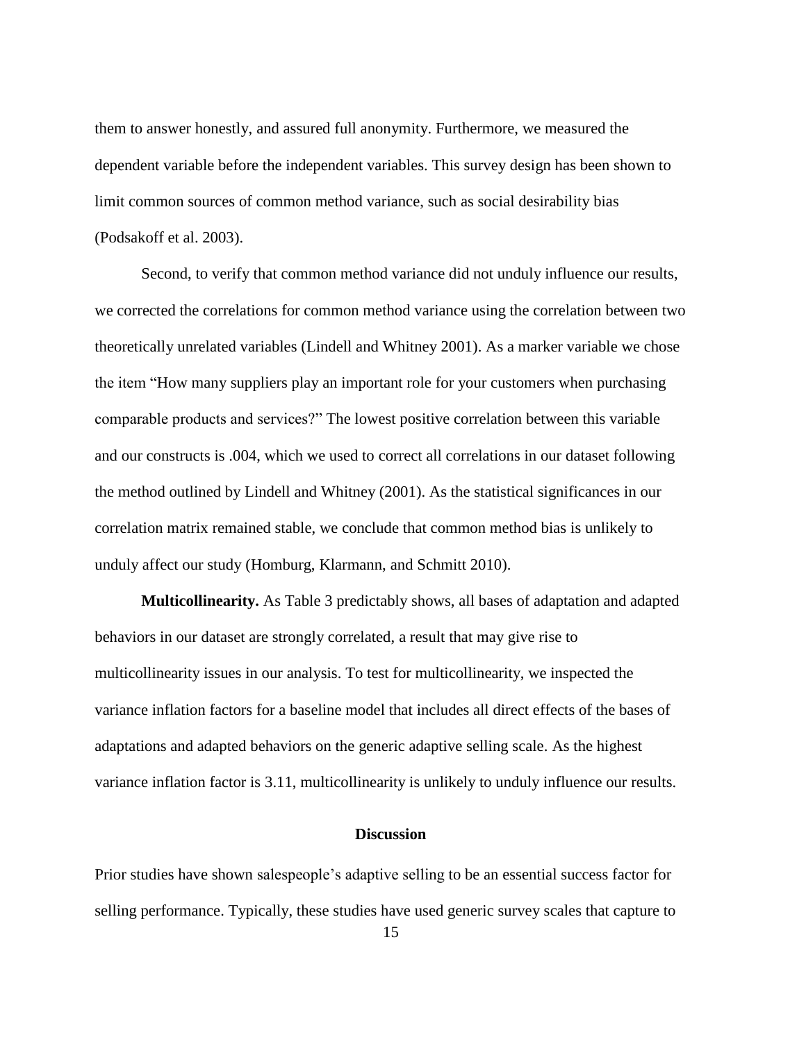them to answer honestly, and assured full anonymity. Furthermore, we measured the dependent variable before the independent variables. This survey design has been shown to limit common sources of common method variance, such as social desirability bias (Podsakoff et al. 2003).

Second, to verify that common method variance did not unduly influence our results, we corrected the correlations for common method variance using the correlation between two theoretically unrelated variables (Lindell and Whitney 2001). As a marker variable we chose the item "How many suppliers play an important role for your customers when purchasing comparable products and services?" The lowest positive correlation between this variable and our constructs is .004, which we used to correct all correlations in our dataset following the method outlined by Lindell and Whitney (2001). As the statistical significances in our correlation matrix remained stable, we conclude that common method bias is unlikely to unduly affect our study (Homburg, Klarmann, and Schmitt 2010).

**Multicollinearity.** As Table 3 predictably shows, all bases of adaptation and adapted behaviors in our dataset are strongly correlated, a result that may give rise to multicollinearity issues in our analysis. To test for multicollinearity, we inspected the variance inflation factors for a baseline model that includes all direct effects of the bases of adaptations and adapted behaviors on the generic adaptive selling scale. As the highest variance inflation factor is 3.11, multicollinearity is unlikely to unduly influence our results.

#### **Discussion**

Prior studies have shown salespeople's adaptive selling to be an essential success factor for selling performance. Typically, these studies have used generic survey scales that capture to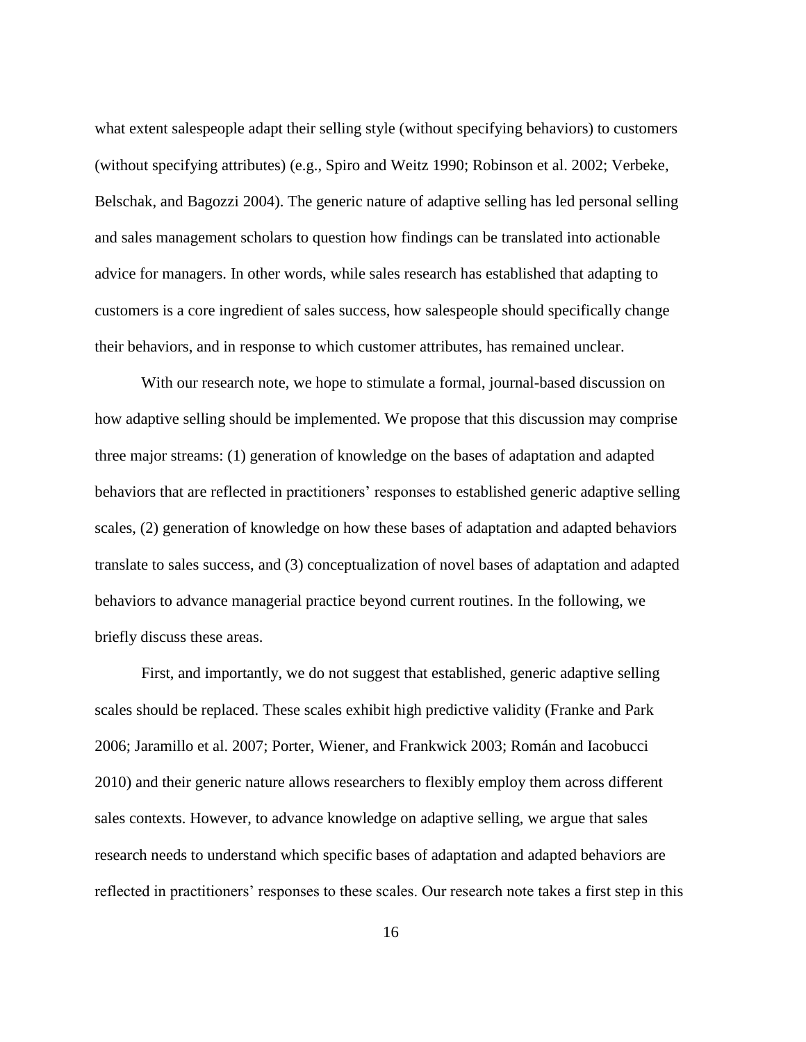what extent salespeople adapt their selling style (without specifying behaviors) to customers (without specifying attributes) (e.g., Spiro and Weitz 1990; Robinson et al. 2002; Verbeke, Belschak, and Bagozzi 2004). The generic nature of adaptive selling has led personal selling and sales management scholars to question how findings can be translated into actionable advice for managers. In other words, while sales research has established that adapting to customers is a core ingredient of sales success, how salespeople should specifically change their behaviors, and in response to which customer attributes, has remained unclear.

With our research note, we hope to stimulate a formal, journal-based discussion on how adaptive selling should be implemented. We propose that this discussion may comprise three major streams: (1) generation of knowledge on the bases of adaptation and adapted behaviors that are reflected in practitioners' responses to established generic adaptive selling scales, (2) generation of knowledge on how these bases of adaptation and adapted behaviors translate to sales success, and (3) conceptualization of novel bases of adaptation and adapted behaviors to advance managerial practice beyond current routines. In the following, we briefly discuss these areas.

First, and importantly, we do not suggest that established, generic adaptive selling scales should be replaced. These scales exhibit high predictive validity (Franke and Park 2006; Jaramillo et al. 2007; Porter, Wiener, and Frankwick 2003; Román and Iacobucci 2010) and their generic nature allows researchers to flexibly employ them across different sales contexts. However, to advance knowledge on adaptive selling, we argue that sales research needs to understand which specific bases of adaptation and adapted behaviors are reflected in practitioners' responses to these scales. Our research note takes a first step in this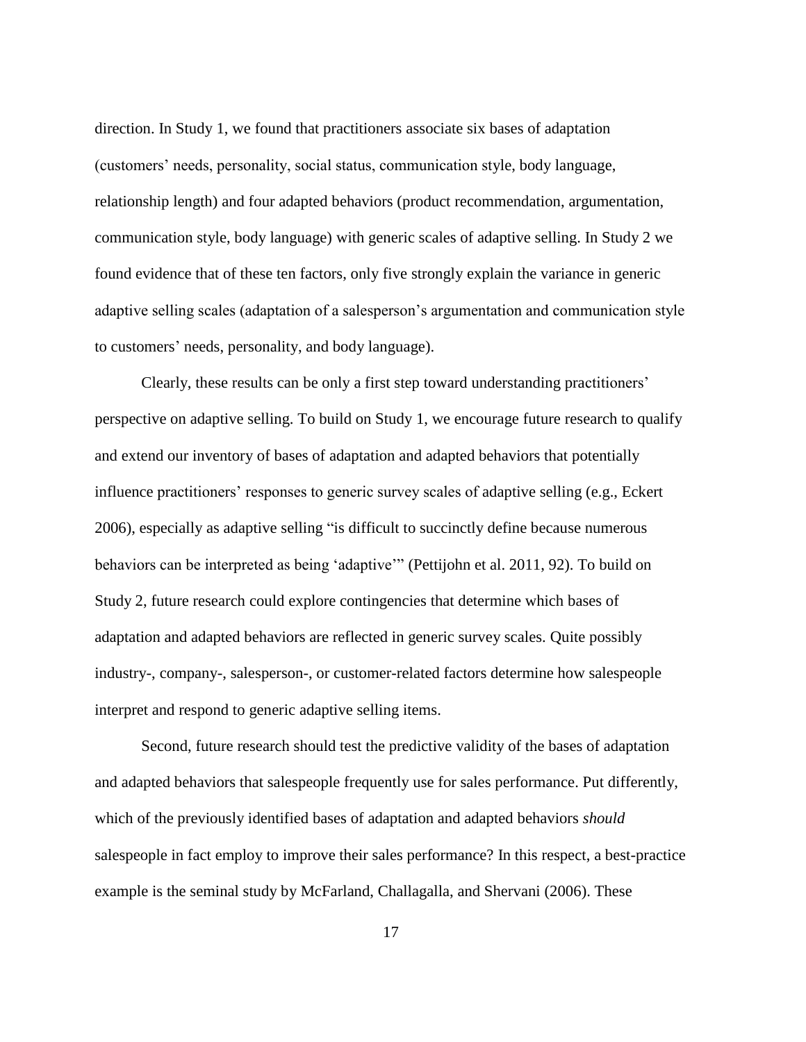direction. In Study 1, we found that practitioners associate six bases of adaptation (customers' needs, personality, social status, communication style, body language, relationship length) and four adapted behaviors (product recommendation, argumentation, communication style, body language) with generic scales of adaptive selling. In Study 2 we found evidence that of these ten factors, only five strongly explain the variance in generic adaptive selling scales (adaptation of a salesperson's argumentation and communication style to customers' needs, personality, and body language).

Clearly, these results can be only a first step toward understanding practitioners' perspective on adaptive selling. To build on Study 1, we encourage future research to qualify and extend our inventory of bases of adaptation and adapted behaviors that potentially influence practitioners' responses to generic survey scales of adaptive selling (e.g., Eckert 2006), especially as adaptive selling "is difficult to succinctly define because numerous behaviors can be interpreted as being 'adaptive'" (Pettijohn et al. 2011, 92). To build on Study 2, future research could explore contingencies that determine which bases of adaptation and adapted behaviors are reflected in generic survey scales. Quite possibly industry-, company-, salesperson-, or customer-related factors determine how salespeople interpret and respond to generic adaptive selling items.

Second, future research should test the predictive validity of the bases of adaptation and adapted behaviors that salespeople frequently use for sales performance. Put differently, which of the previously identified bases of adaptation and adapted behaviors *should* salespeople in fact employ to improve their sales performance? In this respect, a best-practice example is the seminal study by McFarland, Challagalla, and Shervani (2006). These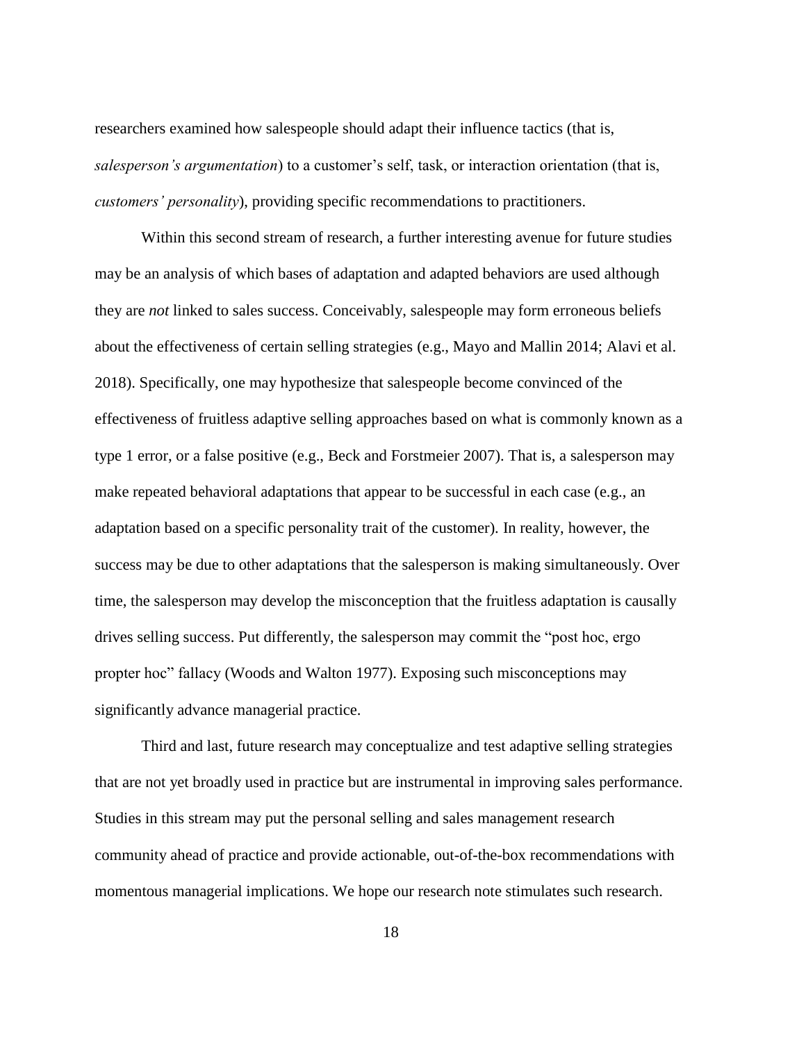researchers examined how salespeople should adapt their influence tactics (that is, *salesperson's argumentation*) to a customer's self, task, or interaction orientation (that is, *customers' personality*), providing specific recommendations to practitioners.

Within this second stream of research, a further interesting avenue for future studies may be an analysis of which bases of adaptation and adapted behaviors are used although they are *not* linked to sales success. Conceivably, salespeople may form erroneous beliefs about the effectiveness of certain selling strategies (e.g., Mayo and Mallin 2014; Alavi et al. 2018). Specifically, one may hypothesize that salespeople become convinced of the effectiveness of fruitless adaptive selling approaches based on what is commonly known as a type 1 error, or a false positive (e.g., Beck and Forstmeier 2007). That is, a salesperson may make repeated behavioral adaptations that appear to be successful in each case (e.g., an adaptation based on a specific personality trait of the customer). In reality, however, the success may be due to other adaptations that the salesperson is making simultaneously. Over time, the salesperson may develop the misconception that the fruitless adaptation is causally drives selling success. Put differently, the salesperson may commit the "post hoc, ergo propter hoc" fallacy (Woods and Walton 1977). Exposing such misconceptions may significantly advance managerial practice.

Third and last, future research may conceptualize and test adaptive selling strategies that are not yet broadly used in practice but are instrumental in improving sales performance. Studies in this stream may put the personal selling and sales management research community ahead of practice and provide actionable, out-of-the-box recommendations with momentous managerial implications. We hope our research note stimulates such research.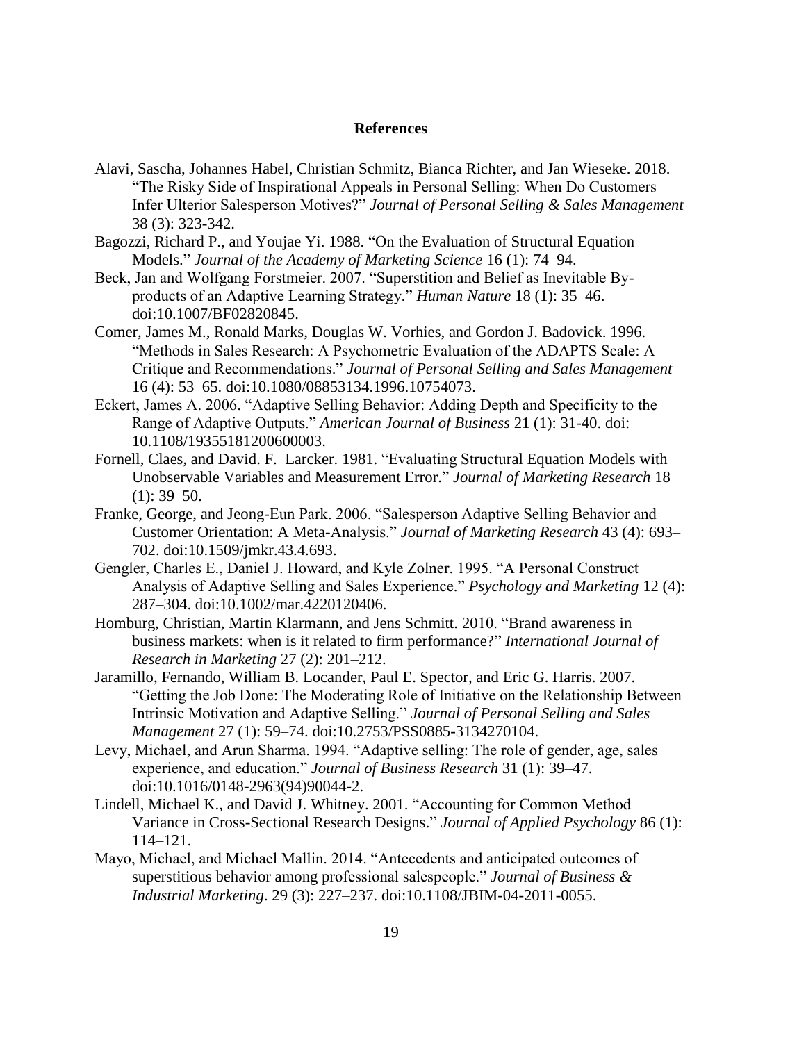#### **References**

- Alavi, Sascha, Johannes Habel, Christian Schmitz, Bianca Richter, and Jan Wieseke. 2018. "The Risky Side of Inspirational Appeals in Personal Selling: When Do Customers Infer Ulterior Salesperson Motives?" *Journal of Personal Selling & Sales Management* 38 (3): 323-342.
- Bagozzi, Richard P., and Youjae Yi. 1988. "On the Evaluation of Structural Equation Models." *Journal of the Academy of Marketing Science* 16 (1): 74–94.
- Beck, Jan and Wolfgang Forstmeier. 2007. "Superstition and Belief as Inevitable Byproducts of an Adaptive Learning Strategy." *Human Nature* 18 (1): 35–46. doi:10.1007/BF02820845.
- Comer, James M., Ronald Marks, Douglas W. Vorhies, and Gordon J. Badovick. 1996. "Methods in Sales Research: A Psychometric Evaluation of the ADAPTS Scale: A Critique and Recommendations." *Journal of Personal Selling and Sales Management* 16 (4): 53–65. doi:10.1080/08853134.1996.10754073.
- Eckert, James A. 2006. "Adaptive Selling Behavior: Adding Depth and Specificity to the Range of Adaptive Outputs." *American Journal of Business* 21 (1): 31-40. doi: 10.1108/19355181200600003.
- Fornell, Claes, and David. F. Larcker. 1981. "Evaluating Structural Equation Models with Unobservable Variables and Measurement Error." *Journal of Marketing Research* 18  $(1)$ : 39–50.
- Franke, George, and Jeong-Eun Park. 2006. "Salesperson Adaptive Selling Behavior and Customer Orientation: A Meta-Analysis." *Journal of Marketing Research* 43 (4): 693– 702. doi:10.1509/jmkr.43.4.693.
- Gengler, Charles E., Daniel J. Howard, and Kyle Zolner. 1995. "A Personal Construct Analysis of Adaptive Selling and Sales Experience." *Psychology and Marketing* 12 (4): 287–304. doi:10.1002/mar.4220120406.
- Homburg, Christian, Martin Klarmann, and Jens Schmitt. 2010. "Brand awareness in business markets: when is it related to firm performance?" *International Journal of Research in Marketing* 27 (2): 201–212.
- Jaramillo, Fernando, William B. Locander, Paul E. Spector, and Eric G. Harris. 2007. "Getting the Job Done: The Moderating Role of Initiative on the Relationship Between Intrinsic Motivation and Adaptive Selling." *Journal of Personal Selling and Sales Management* 27 (1): 59–74. doi:10.2753/PSS0885-3134270104.
- Levy, Michael, and Arun Sharma. 1994. "Adaptive selling: The role of gender, age, sales experience, and education." *Journal of Business Research* 31 (1): 39–47. doi:10.1016/0148-2963(94)90044-2.
- Lindell, Michael K., and David J. Whitney. 2001. "Accounting for Common Method Variance in Cross-Sectional Research Designs." *Journal of Applied Psychology* 86 (1): 114–121.
- Mayo, Michael, and Michael Mallin. 2014. "Antecedents and anticipated outcomes of superstitious behavior among professional salespeople." *Journal of Business & Industrial Marketing*. 29 (3): 227–237. doi:10.1108/JBIM-04-2011-0055.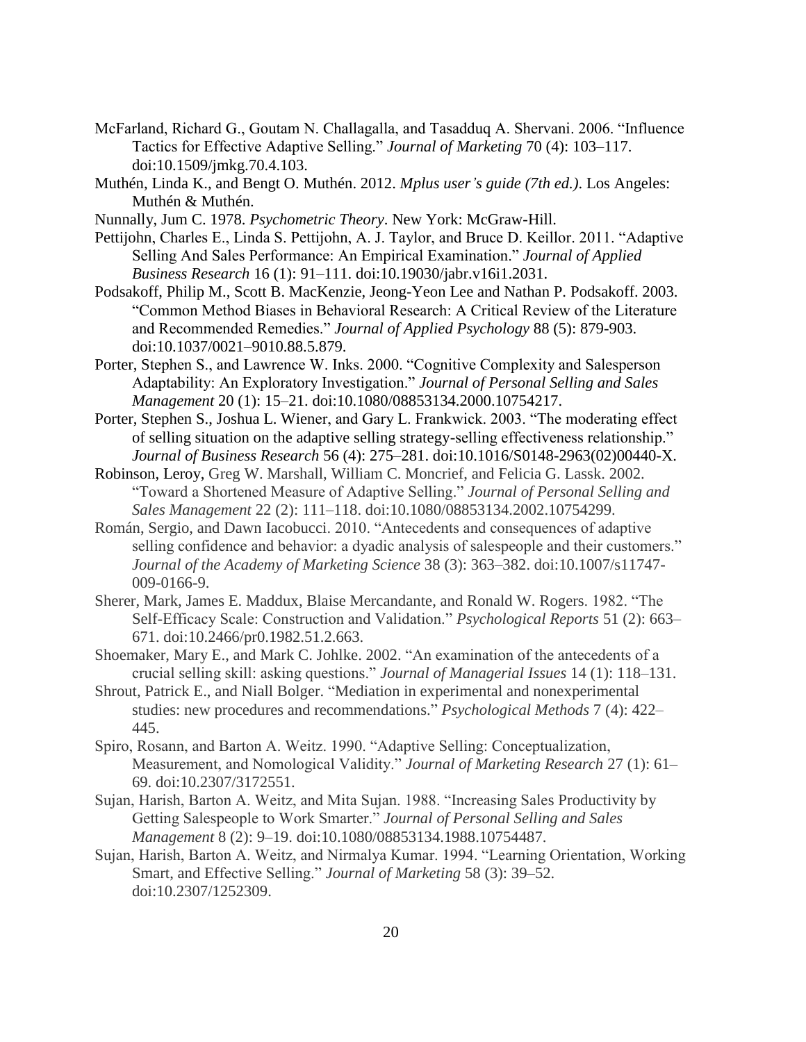- McFarland, Richard G., Goutam N. Challagalla, and Tasadduq A. Shervani. 2006. "Influence Tactics for Effective Adaptive Selling." *Journal of Marketing* 70 (4): 103–117. doi:10.1509/jmkg.70.4.103.
- Muthén, Linda K., and Bengt O. Muthén. 2012. *Mplus user's guide (7th ed.)*. Los Angeles: Muthén & Muthén.
- Nunnally, Jum C. 1978. *Psychometric Theory*. New York: McGraw-Hill.
- Pettijohn, Charles E., Linda S. Pettijohn, A. J. Taylor, and Bruce D. Keillor. 2011. "Adaptive Selling And Sales Performance: An Empirical Examination." *Journal of Applied Business Research* 16 (1): 91–111. doi:10.19030/jabr.v16i1.2031.
- Podsakoff, Philip M., Scott B. MacKenzie, Jeong-Yeon Lee and Nathan P. Podsakoff. 2003. "Common Method Biases in Behavioral Research: A Critical Review of the Literature and Recommended Remedies." *Journal of Applied Psychology* 88 (5): 879-903. doi:10.1037/0021–9010.88.5.879.
- Porter, Stephen S., and Lawrence W. Inks. 2000. "Cognitive Complexity and Salesperson Adaptability: An Exploratory Investigation." *Journal of Personal Selling and Sales Management* 20 (1): 15–21. doi:10.1080/08853134.2000.10754217.
- Porter, Stephen S., Joshua L. Wiener, and Gary L. Frankwick. 2003. "The moderating effect of selling situation on the adaptive selling strategy-selling effectiveness relationship." *Journal of Business Research* 56 (4): 275–281. doi:10.1016/S0148-2963(02)00440-X.
- Robinson, Leroy, Greg W. Marshall, William C. Moncrief, and Felicia G. Lassk. 2002. "Toward a Shortened Measure of Adaptive Selling." *Journal of Personal Selling and Sales Management* 22 (2): 111–118. doi:10.1080/08853134.2002.10754299.
- Román, Sergio, and Dawn Iacobucci. 2010. "Antecedents and consequences of adaptive selling confidence and behavior: a dyadic analysis of salespeople and their customers." *Journal of the Academy of Marketing Science* 38 (3): 363–382. doi:10.1007/s11747- 009-0166-9.
- Sherer, Mark, James E. Maddux, Blaise Mercandante, and Ronald W. Rogers. 1982. "The Self-Efficacy Scale: Construction and Validation." *Psychological Reports* 51 (2): 663– 671. doi:10.2466/pr0.1982.51.2.663.
- Shoemaker, Mary E., and Mark C. Johlke. 2002. "An examination of the antecedents of a crucial selling skill: asking questions." *Journal of Managerial Issues* 14 (1): 118–131.
- Shrout, Patrick E., and Niall Bolger. "Mediation in experimental and nonexperimental studies: new procedures and recommendations." *Psychological Methods* 7 (4): 422– 445.
- Spiro, Rosann, and Barton A. Weitz. 1990. "Adaptive Selling: Conceptualization, Measurement, and Nomological Validity." *Journal of Marketing Research* 27 (1): 61– 69. doi:10.2307/3172551.
- Sujan, Harish, Barton A. Weitz, and Mita Sujan. 1988. "Increasing Sales Productivity by Getting Salespeople to Work Smarter." *Journal of Personal Selling and Sales Management* 8 (2): 9–19. doi:10.1080/08853134.1988.10754487.
- Sujan, Harish, Barton A. Weitz, and Nirmalya Kumar. 1994. "Learning Orientation, Working Smart, and Effective Selling." *Journal of Marketing* 58 (3): 39–52. doi:10.2307/1252309.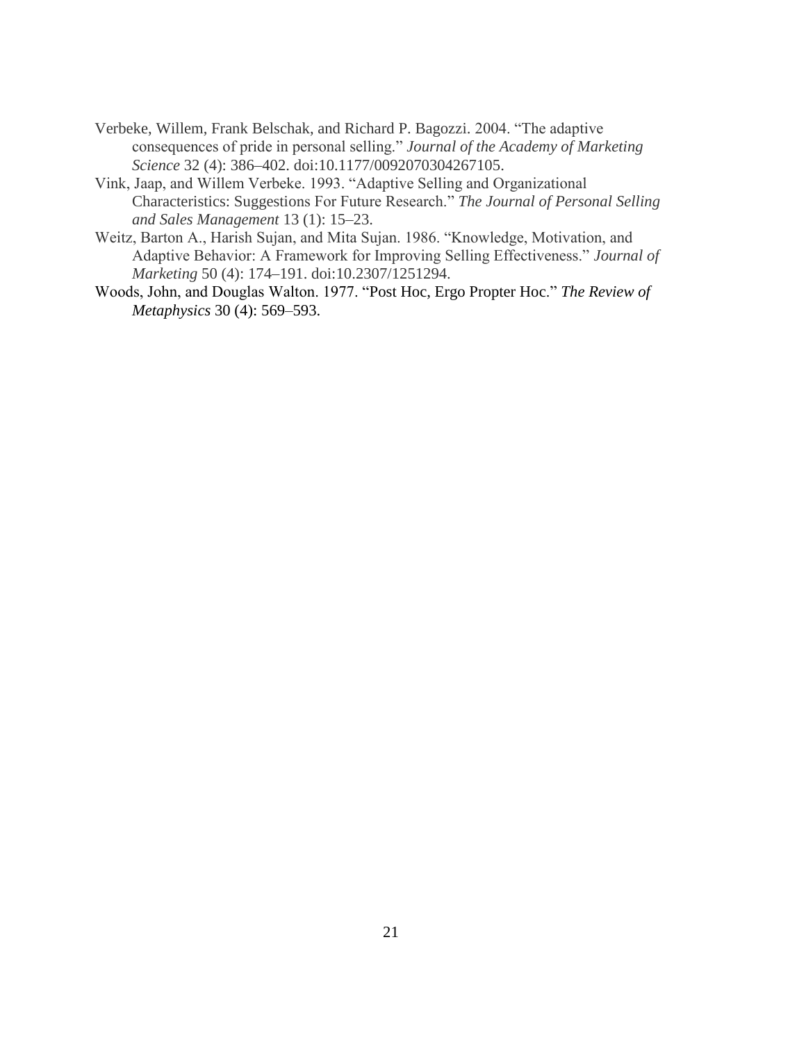- Verbeke, Willem, Frank Belschak, and Richard P. Bagozzi. 2004. "The adaptive consequences of pride in personal selling." *Journal of the Academy of Marketing Science* 32 (4): 386–402. doi:10.1177/0092070304267105.
- Vink, Jaap, and Willem Verbeke. 1993. "Adaptive Selling and Organizational Characteristics: Suggestions For Future Research." *The Journal of Personal Selling and Sales Management* 13 (1): 15–23.
- Weitz, Barton A., Harish Sujan, and Mita Sujan. 1986. "Knowledge, Motivation, and Adaptive Behavior: A Framework for Improving Selling Effectiveness." *Journal of Marketing* 50 (4): 174–191. doi:10.2307/1251294.
- Woods, John, and Douglas Walton. 1977. "Post Hoc, Ergo Propter Hoc." *The Review of Metaphysics* 30 (4): 569–593.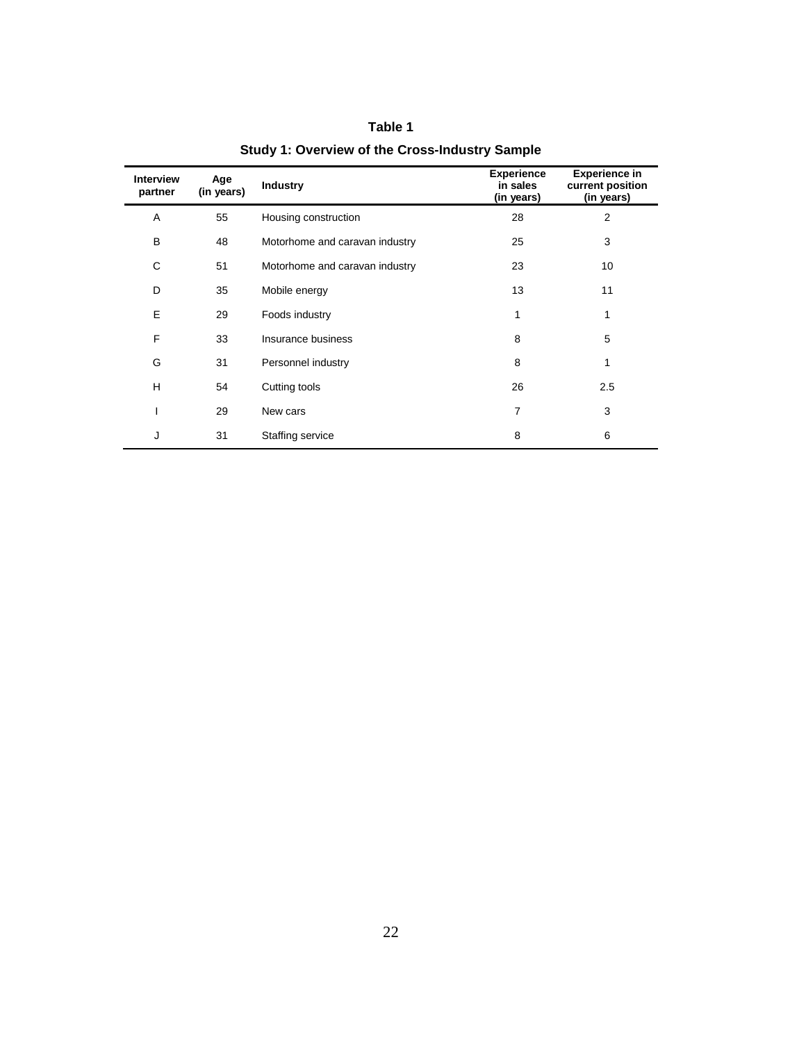| <b>Interview</b><br>partner | Age<br>(in years) | <b>Industry</b>                | <b>Experience</b><br>in sales<br>(in years) | <b>Experience in</b><br>current position<br>(in years) |
|-----------------------------|-------------------|--------------------------------|---------------------------------------------|--------------------------------------------------------|
| A                           | 55                | Housing construction           | 28                                          | 2                                                      |
| B                           | 48                | Motorhome and caravan industry | 25                                          | 3                                                      |
| С                           | 51                | Motorhome and caravan industry | 23                                          | 10                                                     |
| D                           | 35                | Mobile energy                  | 13                                          | 11                                                     |
| E                           | 29                | Foods industry                 | 1                                           | 1                                                      |
| F                           | 33                | Insurance business             | 8                                           | 5                                                      |
| G                           | 31                | Personnel industry             | 8                                           | 1                                                      |
| H                           | 54                | Cutting tools                  | 26                                          | 2.5                                                    |
| I                           | 29                | New cars                       | $\overline{7}$                              | 3                                                      |
| J                           | 31                | Staffing service               | 8                                           | 6                                                      |

# **Table 1 Study 1: Overview of the Cross-Industry Sample**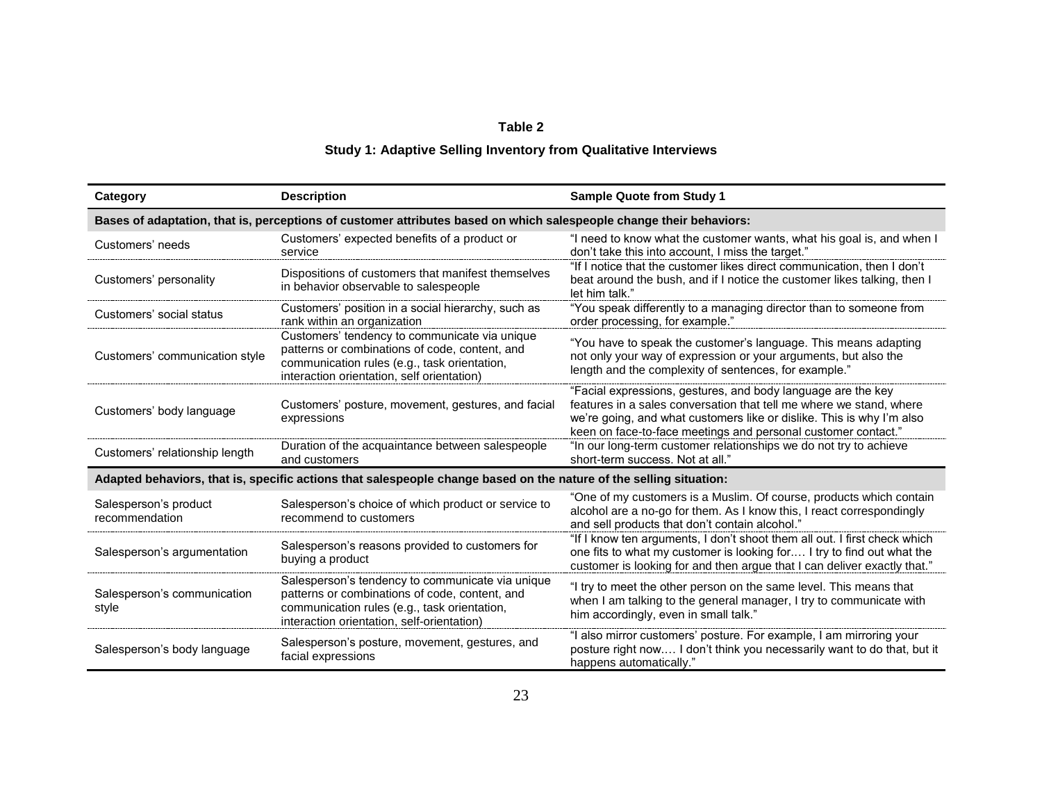## **Table 2**

# **Study 1: Adaptive Selling Inventory from Qualitative Interviews**

| Category                                                                                                            | <b>Description</b>                                                                                                                                                                               | <b>Sample Quote from Study 1</b>                                                                                                                                                                                                                                              |  |  |  |  |  |  |
|---------------------------------------------------------------------------------------------------------------------|--------------------------------------------------------------------------------------------------------------------------------------------------------------------------------------------------|-------------------------------------------------------------------------------------------------------------------------------------------------------------------------------------------------------------------------------------------------------------------------------|--|--|--|--|--|--|
| Bases of adaptation, that is, perceptions of customer attributes based on which salespeople change their behaviors: |                                                                                                                                                                                                  |                                                                                                                                                                                                                                                                               |  |  |  |  |  |  |
| Customers' needs                                                                                                    | Customers' expected benefits of a product or<br>service                                                                                                                                          | "I need to know what the customer wants, what his goal is, and when I<br>don't take this into account, I miss the target."                                                                                                                                                    |  |  |  |  |  |  |
| Customers' personality                                                                                              | Dispositions of customers that manifest themselves<br>in behavior observable to salespeople                                                                                                      | "If I notice that the customer likes direct communication, then I don't<br>beat around the bush, and if I notice the customer likes talking, then I<br>let him talk."                                                                                                         |  |  |  |  |  |  |
| Customers' social status                                                                                            | Customers' position in a social hierarchy, such as<br>rank within an organization                                                                                                                | "You speak differently to a managing director than to someone from<br>order processing, for example."                                                                                                                                                                         |  |  |  |  |  |  |
| Customers' communication style                                                                                      | Customers' tendency to communicate via unique<br>patterns or combinations of code, content, and<br>communication rules (e.g., task orientation,<br>interaction orientation, self orientation)    | "You have to speak the customer's language. This means adapting<br>not only your way of expression or your arguments, but also the<br>length and the complexity of sentences, for example."                                                                                   |  |  |  |  |  |  |
| Customers' body language                                                                                            | Customers' posture, movement, gestures, and facial<br>expressions                                                                                                                                | "Facial expressions, gestures, and body language are the key<br>features in a sales conversation that tell me where we stand, where<br>we're going, and what customers like or dislike. This is why I'm also<br>keen on face-to-face meetings and personal customer contact." |  |  |  |  |  |  |
| Customers' relationship length                                                                                      | Duration of the acquaintance between salespeople<br>and customers                                                                                                                                | "In our long-term customer relationships we do not try to achieve<br>short-term success. Not at all."                                                                                                                                                                         |  |  |  |  |  |  |
|                                                                                                                     | Adapted behaviors, that is, specific actions that salespeople change based on the nature of the selling situation:                                                                               |                                                                                                                                                                                                                                                                               |  |  |  |  |  |  |
| Salesperson's product<br>recommendation                                                                             | Salesperson's choice of which product or service to<br>recommend to customers                                                                                                                    | "One of my customers is a Muslim. Of course, products which contain<br>alcohol are a no-go for them. As I know this, I react correspondingly<br>and sell products that don't contain alcohol."                                                                                |  |  |  |  |  |  |
| Salesperson's argumentation                                                                                         | Salesperson's reasons provided to customers for<br>buying a product                                                                                                                              | "If I know ten arguments, I don't shoot them all out. I first check which<br>one fits to what my customer is looking for I try to find out what the<br>customer is looking for and then argue that I can deliver exactly that."                                               |  |  |  |  |  |  |
| Salesperson's communication<br>style                                                                                | Salesperson's tendency to communicate via unique<br>patterns or combinations of code, content, and<br>communication rules (e.g., task orientation,<br>interaction orientation, self-orientation) | "I try to meet the other person on the same level. This means that<br>when I am talking to the general manager, I try to communicate with<br>him accordingly, even in small talk."                                                                                            |  |  |  |  |  |  |
| Salesperson's body language                                                                                         | Salesperson's posture, movement, gestures, and<br>facial expressions                                                                                                                             | "I also mirror customers' posture. For example, I am mirroring your<br>posture right now I don't think you necessarily want to do that, but it<br>happens automatically."                                                                                                     |  |  |  |  |  |  |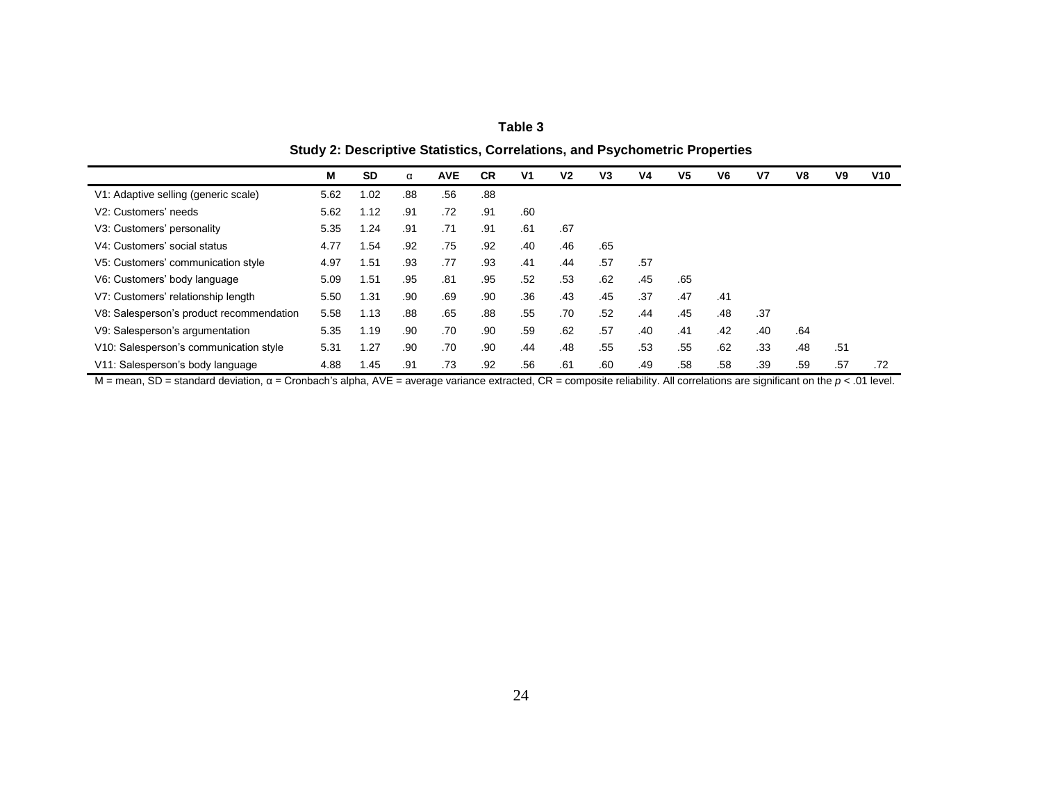| able |  |  |
|------|--|--|
|------|--|--|

**Study 2: Descriptive Statistics, Correlations, and Psychometric Properties**

|                                          | М    | <b>SD</b> | α   | <b>AVE</b> | <b>CR</b> | V <sub>1</sub> | V <sub>2</sub> | V <sub>3</sub> | V4  | V5  | V6  | V <sub>7</sub> | V8  | V9  | V10 |
|------------------------------------------|------|-----------|-----|------------|-----------|----------------|----------------|----------------|-----|-----|-----|----------------|-----|-----|-----|
| V1: Adaptive selling (generic scale)     | 5.62 | 1.02      | .88 | .56        | .88       |                |                |                |     |     |     |                |     |     |     |
| V <sub>2</sub> : Customers' needs        | 5.62 | 1.12      | .91 | .72        | .91       | .60            |                |                |     |     |     |                |     |     |     |
| V3: Customers' personality               | 5.35 | 1.24      | .91 | .71        | .91       | .61            | .67            |                |     |     |     |                |     |     |     |
| V4: Customers' social status             | 4.77 | .54       | .92 | .75        | .92       | .40            | .46            | .65            |     |     |     |                |     |     |     |
| V5: Customers' communication style       | 4.97 | 1.51      | .93 | .77        | .93       | .41            | .44            | .57            | .57 |     |     |                |     |     |     |
| V6: Customers' body language             | 5.09 | 1.51      | .95 | .81        | .95       | .52            | .53            | .62            | .45 | .65 |     |                |     |     |     |
| V7: Customers' relationship length       | 5.50 | 1.31      | .90 | .69        | .90       | .36            | .43            | .45            | .37 | .47 | .41 |                |     |     |     |
| V8: Salesperson's product recommendation | 5.58 | 1.13      | .88 | .65        | .88       | .55            | .70            | .52            | .44 | .45 | .48 | .37            |     |     |     |
| V9: Salesperson's argumentation          | 5.35 | 1.19      | .90 | .70        | .90       | .59            | .62            | .57            | .40 | .41 | .42 | .40            | .64 |     |     |
| V10: Salesperson's communication style   | 5.31 | 1.27      | .90 | .70        | .90       | .44            | .48            | .55            | .53 | .55 | .62 | .33            | .48 | .51 |     |
| V11: Salesperson's body language         | 4.88 | 1.45      | .91 | .73        | .92       | .56            | .61            | .60            | .49 | .58 | .58 | .39            | .59 | .57 | .72 |

M = mean, SD = standard deviation, α = Cronbach's alpha, AVE = average variance extracted, CR = composite reliability. All correlations are significant on the *p* < .01 level.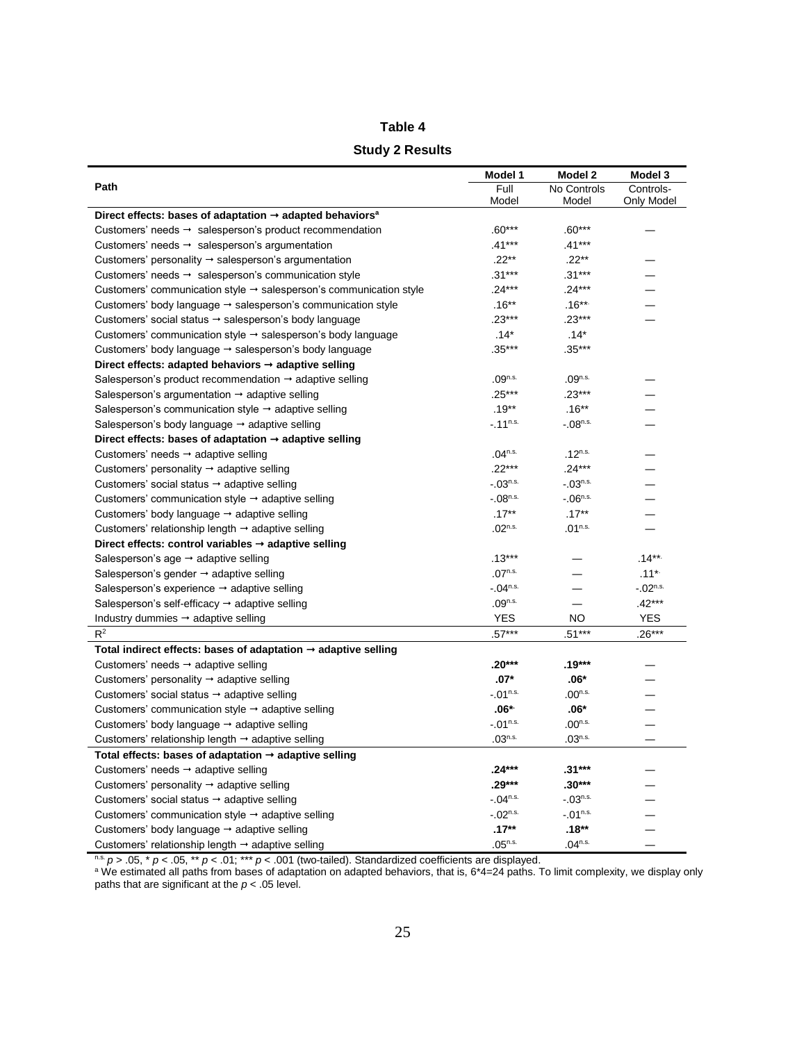## **Table 4**

#### **Study 2 Results**

|                                                                                  | Model 1             | Model 2               | Model 3      |
|----------------------------------------------------------------------------------|---------------------|-----------------------|--------------|
| Path                                                                             | Full                | No Controls           | Controls-    |
|                                                                                  | Model               | Model                 | Only Model   |
| Direct effects: bases of adaptation $\rightarrow$ adapted behaviors <sup>a</sup> |                     |                       |              |
| Customers' needs $\rightarrow$ salesperson's product recommendation              | $.60***$            | $.60***$              |              |
| Customers' needs $\rightarrow$ salesperson's argumentation                       | $.41***$            | $.41***$              |              |
| Customers' personality $\rightarrow$ salesperson's argumentation                 | $.22**$             | $.22**$               |              |
| Customers' needs $\rightarrow$ salesperson's communication style                 | $.31***$            | $.31***$              |              |
| Customers' communication style $\rightarrow$ salesperson's communication style   | $.24***$            | $.24***$              |              |
| Customers' body language $\rightarrow$ salesperson's communication style         | $.16**$             | $.16***$              |              |
| Customers' social status → salesperson's body language                           | $.23***$            | $.23***$              |              |
| Customers' communication style $\rightarrow$ salesperson's body language         | $.14*$              | $.14*$                |              |
| Customers' body language → salesperson's body language                           | $.35***$            | $.35***$              |              |
| Direct effects: adapted behaviors $\rightarrow$ adaptive selling                 |                     |                       |              |
| Salesperson's product recommendation $\rightarrow$ adaptive selling              | $.09^{n.s.}$        | $.09^{n.s.}$          |              |
| Salesperson's argumentation $\rightarrow$ adaptive selling                       | $.25***$            | $.23***$              |              |
| Salesperson's communication style $\rightarrow$ adaptive selling                 | $.19**$             | $.16**$               |              |
| Salesperson's body language → adaptive selling                                   | $-11^{n.s.}$        | $-.08^{n.s.}$         |              |
| Direct effects: bases of adaptation $\rightarrow$ adaptive selling               |                     |                       |              |
| Customers' needs $\rightarrow$ adaptive selling                                  | $.04^{n.s.}$        | $.12^{n.s.}$          |              |
| Customers' personality $\rightarrow$ adaptive selling                            | $.22***$            | $.24***$              |              |
| Customers' social status $\rightarrow$ adaptive selling                          | $-03^{n.s.}$        | $-03^{n.s.}$          |              |
| Customers' communication style $\rightarrow$ adaptive selling                    | $-08^{n.s.}$        | $-06^{n.s.}$          |              |
| Customers' body language $\rightarrow$ adaptive selling                          | $.17***$            | $.17***$              |              |
| Customers' relationship length $\rightarrow$ adaptive selling                    | $.02^{n.s.}$        | $.01$ <sup>n.s.</sup> |              |
| Direct effects: control variables $\rightarrow$ adaptive selling                 |                     |                       |              |
| Salesperson's age $\rightarrow$ adaptive selling                                 | $.13***$            |                       | $.14***$     |
| Salesperson's gender $\rightarrow$ adaptive selling                              | $.07^{n.s.}$        |                       | $.11*$       |
| Salesperson's experience $\rightarrow$ adaptive selling                          | $-.04^{n.s.}$       |                       | $-02^{n.s.}$ |
| Salesperson's self-efficacy → adaptive selling                                   | .09 <sup>n.s.</sup> |                       | $.42***$     |
| Industry dummies $\rightarrow$ adaptive selling                                  | <b>YES</b>          | NO.                   | <b>YES</b>   |
| $R^2$                                                                            | $.57***$            | .51***                | $.26***$     |
| Total indirect effects: bases of adaptation $\rightarrow$ adaptive selling       |                     |                       |              |
| Customers' needs → adaptive selling                                              | .20***              | .19***                |              |
| Customers' personality $\rightarrow$ adaptive selling                            | $.07*$              | $.06*$                |              |
| Customers' social status $\rightarrow$ adaptive selling                          | $-.01n.s.$          | .00 <sup>n.s.</sup>   |              |
| Customers' communication style $\rightarrow$ adaptive selling                    | $.06*$              | $.06*$                |              |
| Customers' body language → adaptive selling                                      | $-01^{n.s.}$        | $.00^{n.s.}$          |              |
| Customers' relationship length → adaptive selling                                | $.03^{n.s.}$        | $.03^{n.s.}$          |              |
| Total effects: bases of adaptation $\rightarrow$ adaptive selling                |                     |                       |              |
| Customers' needs $\rightarrow$ adaptive selling                                  | .24***              | $.31***$              |              |
| Customers' personality $\rightarrow$ adaptive selling                            | $.29***$            | $.30***$              |              |
| Customers' social status → adaptive selling                                      | $-04^{n.s.}$        | $-03^{n.s.}$          |              |
| Customers' communication style $\rightarrow$ adaptive selling                    | $-02^{n.s.}$        | $-01^{n.s.}$          |              |
| Customers' body language $\rightarrow$ adaptive selling                          | $.17**$             | $.18**$               |              |
| Customers' relationship length → adaptive selling                                | $.05^{n.s.}$        | $.04^{n.s.}$          |              |

n.s. *p* > .05, \* *p* < .05, \*\* *p* < .01; \*\*\* *p* < .001 (two-tailed). Standardized coefficients are displayed.

<sup>a</sup> We estimated all paths from bases of adaptation on adapted behaviors, that is, 6\*4=24 paths. To limit complexity, we display only paths that are significant at the *p* < .05 level.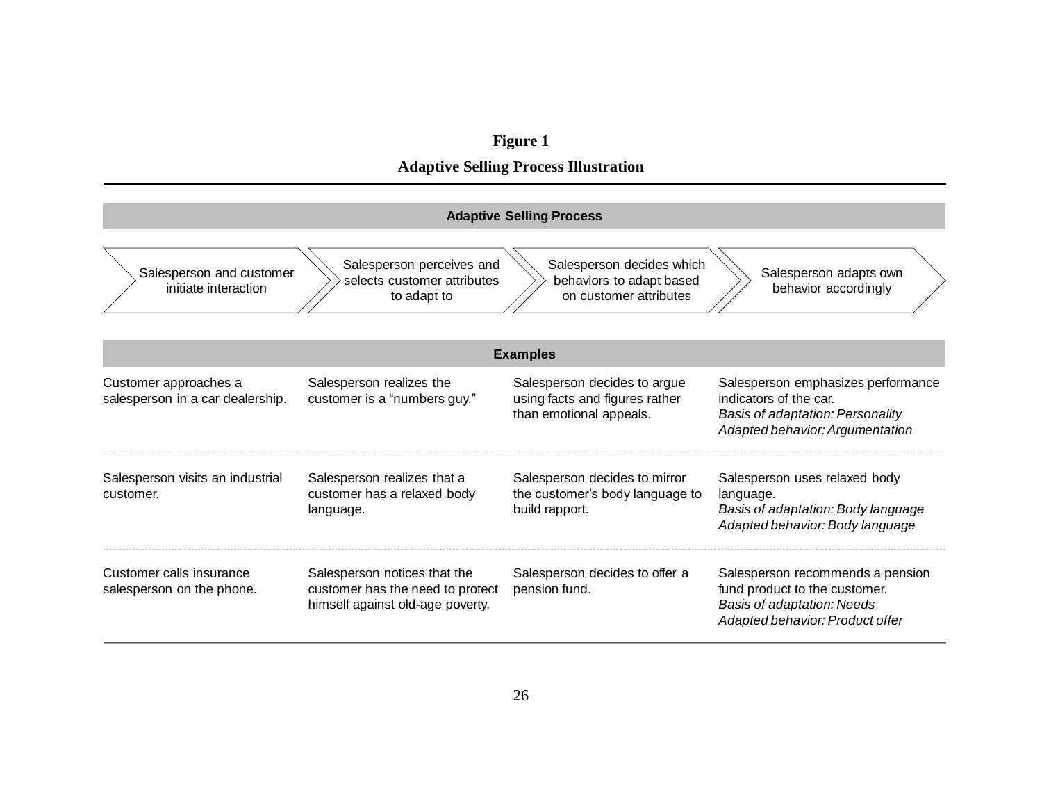#### **Figure 1**

**Adaptive Selling Process Illustration**

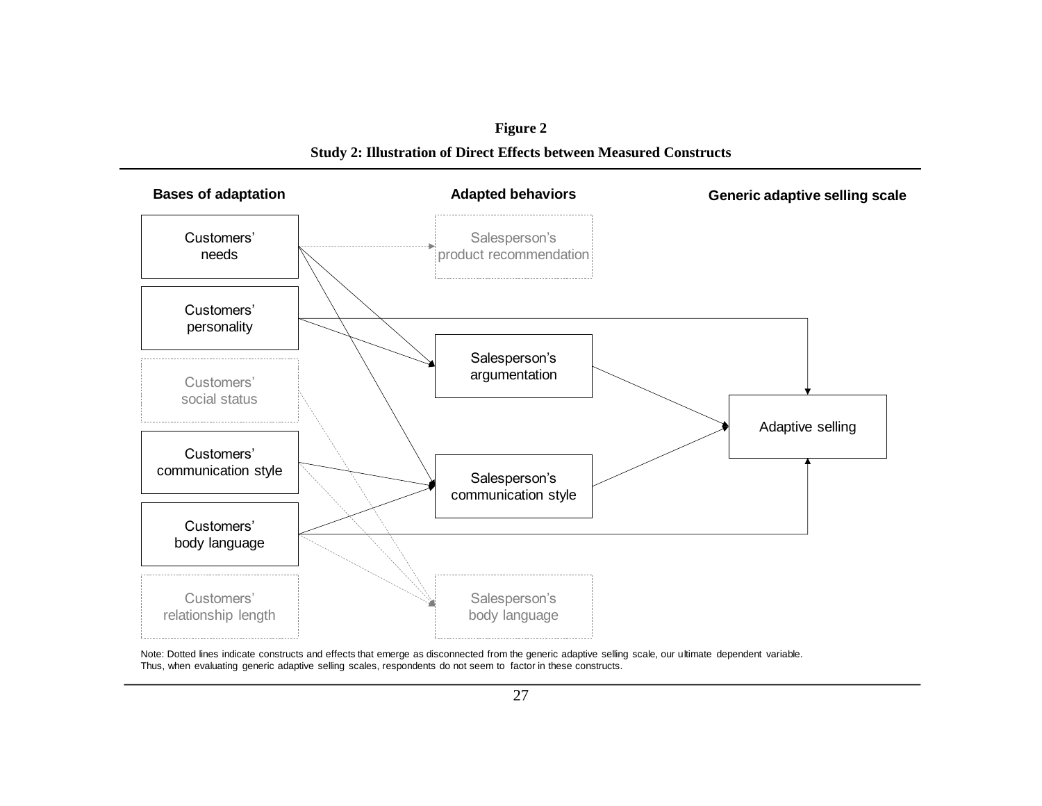**Figure 2 Study 2: Illustration of Direct Effects between Measured Constructs**



Note: Dotted lines indicate constructs and effects that emerge as disconnected from the generic adaptive selling scale, our ultimate dependent variable. Thus, when evaluating generic adaptive selling scales, respondents do not seem to factor in these constructs.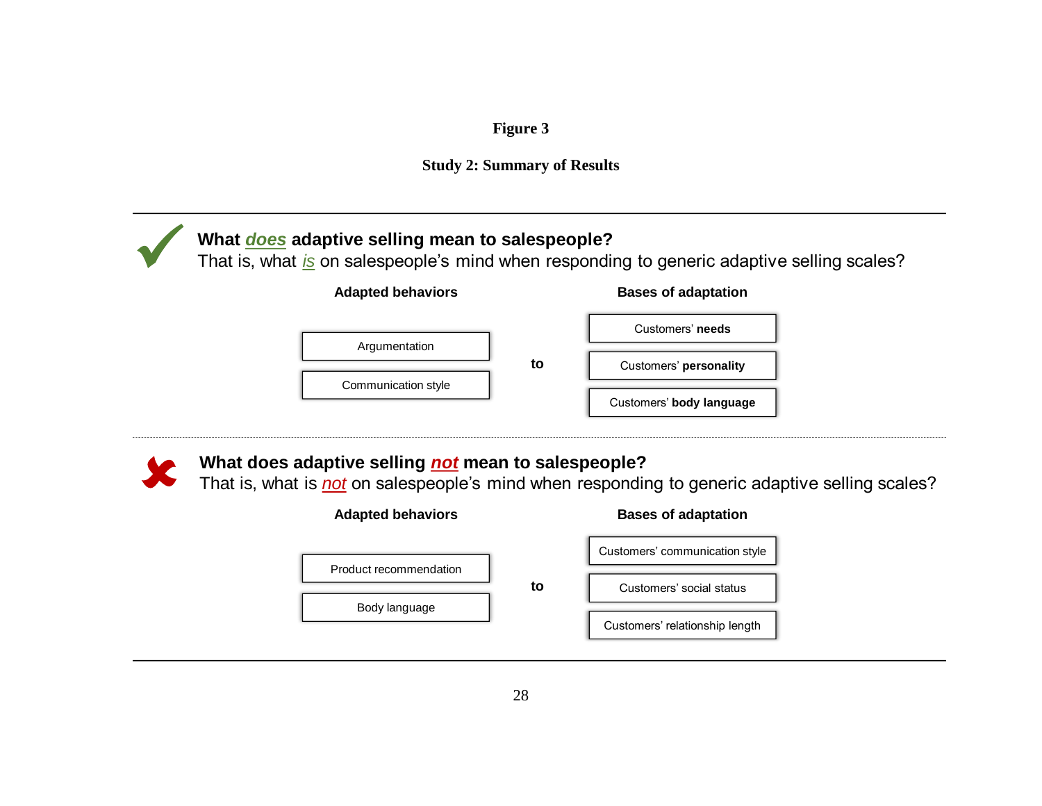# **Figure 3**



# **What** *does* **adaptive selling mean to salespeople?** ✓

That is, what *is* on salespeople's mind when responding to generic adaptive selling scales?

## **Adapted behaviors Bases of adaptation**





# **What does adaptive selling** *not* **mean to salespeople?**

That is, what is *not* on salespeople's mind when responding to generic adaptive selling scales?

| <b>Adapted behaviors</b> |    | <b>Bases of adaptation</b>     |  |  |  |
|--------------------------|----|--------------------------------|--|--|--|
| Product recommendation   |    | Customers' communication style |  |  |  |
|                          | to | Customers' social status       |  |  |  |
| Body language            |    | Customers' relationship length |  |  |  |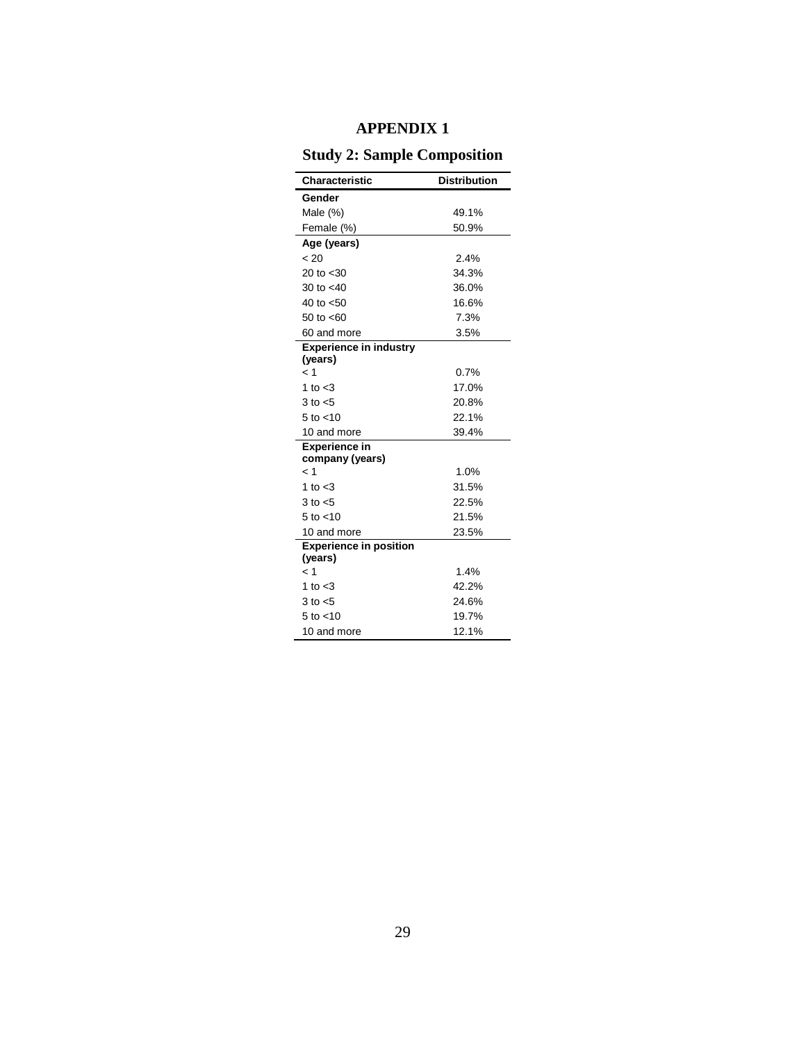## **APPENDIX 1**

# **Study 2: Sample Composition**

| Characteristic                          | <b>Distribution</b> |
|-----------------------------------------|---------------------|
| Gender                                  |                     |
| Male $(\%)$                             | 49.1%               |
| Female (%)                              | 50.9%               |
| Age (years)                             |                     |
| < 20                                    | 2.4%                |
| 20 to $< 30$                            | 34.3%               |
| 30 to $<$ 40                            | 36.0%               |
| 40 to $< 50$                            | 16.6%               |
| 50 to $< 60$                            | 7.3%                |
| 60 and more                             | 3.5%                |
| <b>Experience in industry</b>           |                     |
| (years)                                 |                     |
| < 1                                     | 0.7%                |
| 1 to $<$ 3                              | 17.0%               |
| $3$ to $< 5$                            | 20.8%               |
| 5 to $<$ 10                             | 22.1%               |
| 10 and more                             | 39.4%               |
| <b>Experience in</b><br>company (years) |                     |
| < 1                                     | 1.0%                |
| 1 to $<$ 3                              | 31.5%               |
| $3$ to $< 5$                            | 22.5%               |
| $5$ to $<$ 10                           | 21.5%               |
| 10 and more                             | 23.5%               |
| <b>Experience in position</b>           |                     |
| (years)                                 |                     |
| < 1                                     | 1.4%                |
| 1 to $<$ 3                              | 42.2%               |
| $3$ to $< 5$                            | 24.6%               |
| $5$ to $<$ 10                           | 19.7%               |
| 10 and more                             | 12.1%               |